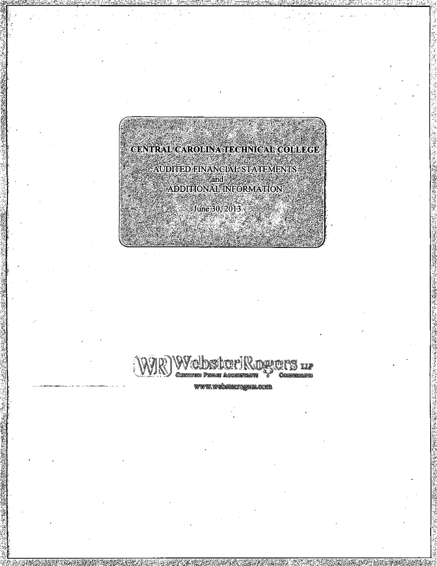**CENTRAL CAROLINA TECHNICAL COLLEGE** AUDITED FINANCIAL STATEMENTS and ADDITIONAL INFORMATION

June 30, 2013

#### $\int$ t it id <u>Ctarthano</u> Phalic Accountants Consuments

www.websterrogers.com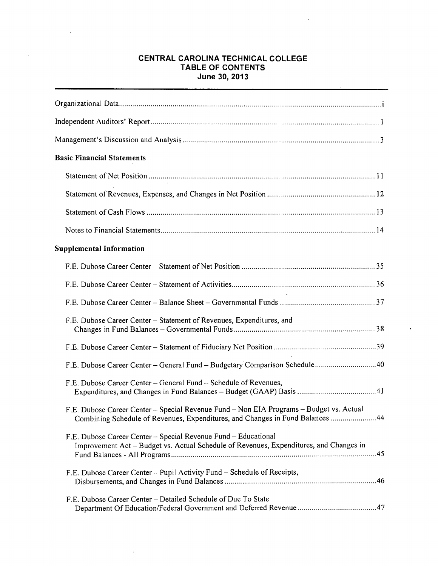## **CENTRAL CAROLINA TECHNICAL COLLEGE TABLE OF CONTENTS June 30, 2013**

 $\ddot{\phantom{0}}$ 

 $\lambda$ 

| <b>Basic Financial Statements</b>                                                                                                                                        |
|--------------------------------------------------------------------------------------------------------------------------------------------------------------------------|
|                                                                                                                                                                          |
|                                                                                                                                                                          |
|                                                                                                                                                                          |
|                                                                                                                                                                          |
| <b>Supplemental Information</b>                                                                                                                                          |
|                                                                                                                                                                          |
|                                                                                                                                                                          |
|                                                                                                                                                                          |
| F.E. Dubose Career Center - Statement of Revenues, Expenditures, and                                                                                                     |
|                                                                                                                                                                          |
|                                                                                                                                                                          |
| F.E. Dubose Career Center – General Fund – Schedule of Revenues,                                                                                                         |
| F.E. Dubose Career Center - Special Revenue Fund - Non EIA Programs - Budget vs. Actual<br>Combining Schedule of Revenues, Expenditures, and Changes in Fund Balances 44 |
| F.E. Dubose Career Center - Special Revenue Fund - Educational<br>Improvement Act - Budget vs. Actual Schedule of Revenues, Expenditures, and Changes in                 |
| F.E. Dubose Career Center – Pupil Activity Fund – Schedule of Receipts,                                                                                                  |
| F.E. Dubose Career Center - Detailed Schedule of Due To State                                                                                                            |

 $\ddot{\phantom{a}}$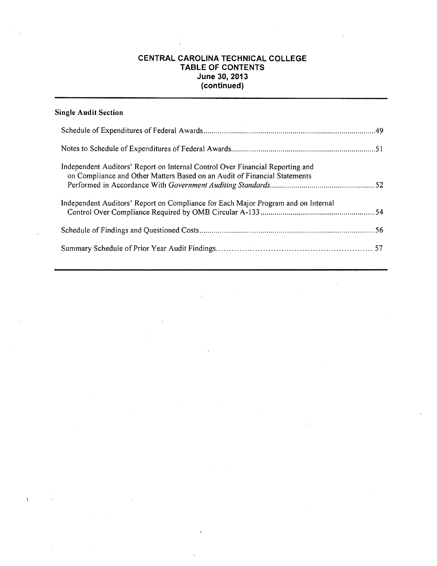## **CENTRAL CAROLINA TECHNICAL COLLEGE TABLE OF CONTENTS June 30, 2013 (continued)**

## **Single Audit Section**

| Independent Auditors' Report on Internal Control Over Financial Reporting and<br>on Compliance and Other Matters Based on an Audit of Financial Statements |  |
|------------------------------------------------------------------------------------------------------------------------------------------------------------|--|
| Independent Auditors' Report on Compliance for Each Major Program and on Internal                                                                          |  |
|                                                                                                                                                            |  |
|                                                                                                                                                            |  |

 $\bar{u}$ 

 $\mathcal{L}$ 

 $\mathcal{L}_{\mathcal{A}}$ 

 $\chi$ 

 $\bar{z}$ 

 $\bar{z}$ 

 $\sim$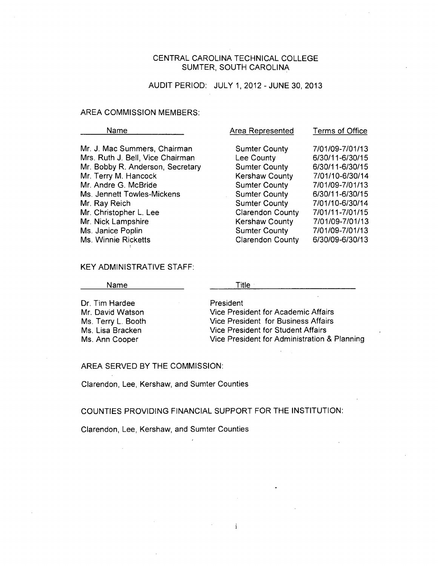#### CENTRAL CAROLINA TECHNICAL COLLEGE SUMTER, SOUTH CAROLINA

AUDIT PERIOD: JULY 1, 2012- JUNE 30, 2013

#### AREA COMMISSION MEMBERS:

| Name                             | Area Represented        | Terms of Office |
|----------------------------------|-------------------------|-----------------|
| Mr. J. Mac Summers, Chairman     | <b>Sumter County</b>    | 7/01/09-7/01/13 |
| Mrs. Ruth J. Bell, Vice Chairman | Lee County              | 6/30/11-6/30/15 |
| Mr. Bobby R. Anderson, Secretary | <b>Sumter County</b>    | 6/30/11-6/30/15 |
| Mr. Terry M. Hancock             | <b>Kershaw County</b>   | 7/01/10-6/30/14 |
| Mr. Andre G. McBride             | <b>Sumter County</b>    | 7/01/09-7/01/13 |
| Ms. Jennett Towles-Mickens       | <b>Sumter County</b>    | 6/30/11-6/30/15 |
| Mr. Ray Reich                    | <b>Sumter County</b>    | 7/01/10-6/30/14 |
| Mr. Christopher L. Lee           | <b>Clarendon County</b> | 7/01/11-7/01/15 |
| Mr. Nick Lampshire               | <b>Kershaw County</b>   | 7/01/09-7/01/13 |
| Ms. Janice Poplin                | <b>Sumter County</b>    | 7/01/09-7/01/13 |
| Ms. Winnie Ricketts              | <b>Clarendon County</b> | 6/30/09-6/30/13 |

#### KEY ADMINISTRATIVE STAFF:

#### Name

**Title** 

Dr. Tim Hardee Mr. David Watson Ms. Terry L. Booth Ms. Lisa Bracken Ms. Ann Cooper

President Vice President for Academic Affairs Vice President for Business Affairs Vice President for Student Affairs Vice President for Administration & Planning

AREA SERVED BY THE COMMISSION:

Clarendon, Lee, Kershaw, and Sumter Counties

COUNTIES PROVIDING FINANCIAL SUPPORT FOR THE INSTITUTION:

 $\mathbf{i}$ 

Clarendon, Lee, Kershaw, and Sumter Counties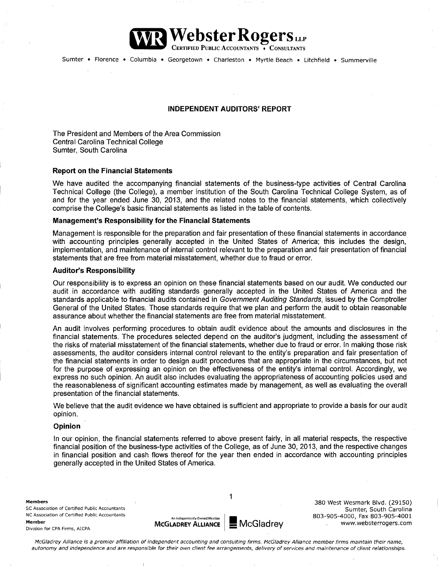

Sumter • Florence • Columbia • Georgetown • Charleston • Myrtle Beach • Litchfield • Summerville

#### **INDEPENDENT AUDITORS' REPORT**

The President and Members of the Area Commission Central Carolina Technical College Sumter, South Carolina

#### **Report on the Financial Statements**

We have audited the accompanying financial statements of the business-type activities of Central Carolina Technical College (the College), a member institution of the South Carolina Technical College System, as of and for the year ended June 30, 2013, and the related notes to the financial statements, which collectively comprise the College's basic financial statements as listed in the table of contents.

#### **Management's Responsibility for the Financial Statements**

Management is responsible for the preparation and fair presentation of these financial statements in accordance with accounting principles generally accepted in the United States of America; this includes the design, implementation, and maintenance of internal control relevant to the preparation and fair presentation of financial statements that are free from material misstatement, whether due to fraud or error.

#### **Auditor's Responsibility**

Our responsibility is to express an opinion on these financial statements based on our audit. We conducted our audit in accordance with auditing standards generally accepted in the United States of America and the standards applicable to financial audits contained in Government Auditing Standards, issued by the Comptroller General of the United States. Those standards require that we plan and perform the audit to obtain reasonable assurance about whether the financial statements are free from material misstatement.

An audit involves performing procedures to obtain audit evidence about the amounts and disclosures in the financial statements. The procedures selected depend on the auditor's judgment, including the assessment of the risks of material misstatement of the financial statements, whether due to fraud or error. In making those risk assessments, the auditor considers internal control relevant to the entity's preparation and fair presentation of the financial statements in order to design audit procedures that are appropriate in the circumstances, but not for the purpose of expressing an opinion on the effectiveness of the entity's internal control. Accordingly, we express no such opinion. An audit also includes evaluating the appropriateness of accounting policies used and the reasonableness of significant accounting estimates made by management, as well as evaluating the overall presentation of the financial statements.

We believe that the audit evidence we have obtained is sufficient and appropriate to provide a basis for our audit opinion.

#### **Opinion**

In our opinion, the financial statements referred to above present fairly, in all material respects, the respective financial position of the business-type activities of the College, as of June 30, 2013, and the respective changes in financial position and cash flows thereof for the year then ended in accordance with accounting principles generally accepted in the United States of America.

1

Members SC Association of Certified Public Accountants NC Association of Certified Public Accountants Member Division for CPA Firms, AI CPA

An Independently Owned Member **McGladrev MCGLADREY ALLIANCE** 

380 West Wesmark Blvd. (29150) Sumter, South Carolina 803-905-4000, Fax 803-905-4001 www. websterrogers.com

McGiadrey Alliance is a premier affiliation of independent accounting and consulting firms. McGiadrey Alliance member firms maintain their name, autonomy and independence and are responsible for their own client fee arrangements, delivery of services and maintenance of client relationships.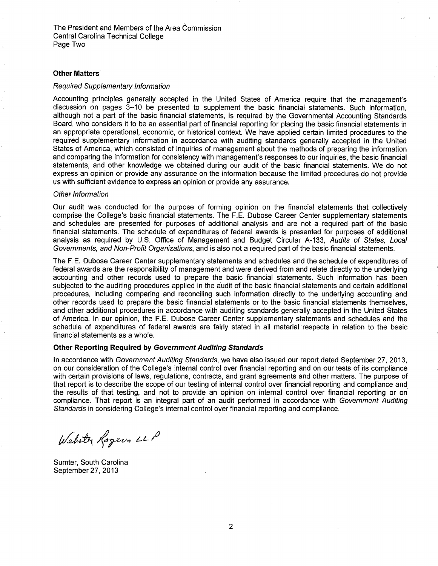The President and Members of the Area Commission Central Carolina Technical College Page Two

#### **Other Matters·**

#### Required Supplementary Information

Accounting principles generally accepted in the United States of America require that the management's discussion on pages 3-10 be presented to supplement the basic financial statements. Such information, although not a part of the basic financial statements, is required by the Governmental Accounting Standards Board, who considers it to be an essential part of financial reporting for placing the basic financial statements in an appropriate operational, economic, or historical context. We have applied certain limited procedures to the required supplementary information in accordance with auditing standards generally accepted in the United States of America, which consisted of inquiries of management about the methods of preparing the information and comparing the information for consistency with management's responses to our inquiries, the basic financial statements, and other knowledge we obtained during our audit of the basic financial statements. We do not express an opinion or provide any assurance on the information because the limited procedures do not provide us with sufficient evidence to express an opinion or provide any assurance.

#### Other Information

Our audit was conducted for the purpose of forming opinion on the financial statements that collectively comprise the College's basic financial statements. The F.E. Dubose Career Center supplementary statements and schedules are presented for purposes of additional analysis and are not a required part of the basic financial statements. The schedule of expenditures of federal awards is presented for purposes of additional analysis as required by U.S. Office of Management and Budget Circular A-133, Audits of States, Local Governments, and Non-Profit Organizations, and is also not a required part of the basic financial statements.

The F.E. Dubose Career Center supplementary statements and schedules and the schedule of expenditures of federal awards are the responsibility of management and were derived from and relate directly to the underlying accounting and other records used to prepare the basic financial statements. Such information has been subjected to the auditing procedures applied in the audit of the basic financial statements and certain additional procedures, including comparing and reconciling such information directly to the underlying accounting and other records used to prepare the basic financial statements or to the basic financial statements themselves, and other additional procedures in accordance with auditing standards generally accepted in the United States of America. In our opinion, the F.E. Dubose Career Center supplementary statements and schedules and the schedule of expenditures of federal awards are fairly stated in all material respects in relation to the basic financial statements as a whole.

#### **Other Reporting Required by Government Auditing Standards**

In accordance with Government Auditing Standards, we have also issued our report dated September 27, 2013, on our consideration of the College's internal control over financial reporting and on our tests of its compliance with certain provisions of laws, regulations, contracts, and grant agreements and other matters. The purpose of that report is to describe the scope of our testing of internal control over financial reporting and compliance and the results of that testing, and not to provide an opinion on internal control over financial reporting or on compliance. That report is an integral part of an audit performed in accordance with Government Auditing Standards in considering College's internal control over financial reporting and compliance.

Webster Rogers LLP

Sumter, South Carolina September 27, 2013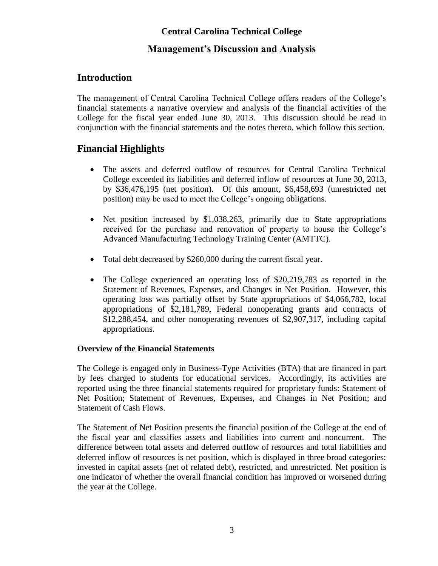# **Management's Discussion and Analysis**

# **Introduction**

The management of Central Carolina Technical College offers readers of the College's financial statements a narrative overview and analysis of the financial activities of the College for the fiscal year ended June 30, 2013. This discussion should be read in conjunction with the financial statements and the notes thereto, which follow this section.

# **Financial Highlights**

- The assets and deferred outflow of resources for Central Carolina Technical College exceeded its liabilities and deferred inflow of resources at June 30, 2013, by \$36,476,195 (net position). Of this amount, \$6,458,693 (unrestricted net position) may be used to meet the College's ongoing obligations.
- Net position increased by \$1,038,263, primarily due to State appropriations received for the purchase and renovation of property to house the College's Advanced Manufacturing Technology Training Center (AMTTC).
- Total debt decreased by \$260,000 during the current fiscal year.
- The College experienced an operating loss of \$20,219,783 as reported in the Statement of Revenues, Expenses, and Changes in Net Position. However, this operating loss was partially offset by State appropriations of \$4,066,782, local appropriations of \$2,181,789, Federal nonoperating grants and contracts of \$12,288,454, and other nonoperating revenues of \$2,907,317, including capital appropriations.

## **Overview of the Financial Statements**

The College is engaged only in Business-Type Activities (BTA) that are financed in part by fees charged to students for educational services. Accordingly, its activities are reported using the three financial statements required for proprietary funds: Statement of Net Position; Statement of Revenues, Expenses, and Changes in Net Position; and Statement of Cash Flows.

The Statement of Net Position presents the financial position of the College at the end of the fiscal year and classifies assets and liabilities into current and noncurrent. The difference between total assets and deferred outflow of resources and total liabilities and deferred inflow of resources is net position, which is displayed in three broad categories: invested in capital assets (net of related debt), restricted, and unrestricted. Net position is one indicator of whether the overall financial condition has improved or worsened during the year at the College.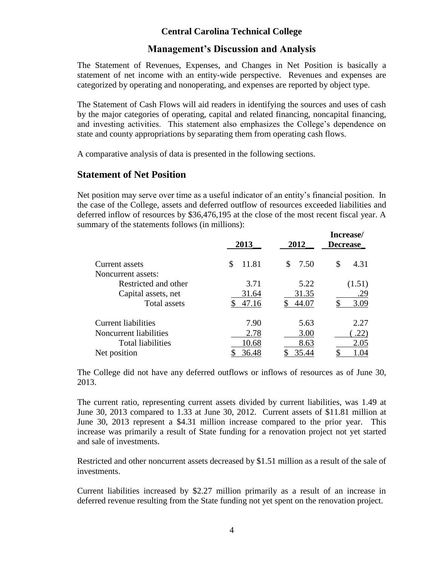# **Management's Discussion and Analysis**

The Statement of Revenues, Expenses, and Changes in Net Position is basically a statement of net income with an entity-wide perspective. Revenues and expenses are categorized by operating and nonoperating, and expenses are reported by object type.

The Statement of Cash Flows will aid readers in identifying the sources and uses of cash by the major categories of operating, capital and related financing, noncapital financing, and investing activities. This statement also emphasizes the College's dependence on state and county appropriations by separating them from operating cash flows.

A comparative analysis of data is presented in the following sections.

## **Statement of Net Position**

Net position may serve over time as a useful indicator of an entity's financial position. In the case of the College, assets and deferred outflow of resources exceeded liabilities and deferred inflow of resources by \$36,476,195 at the close of the most recent fiscal year. A summary of the statements follows (in millions):

 **Increase/**

|                            | 2013       | 2012  | LIIUL CASC/<br><b>Decrease</b> |
|----------------------------|------------|-------|--------------------------------|
| Current assets             | 11.81<br>S | 7.50  | \$<br>4.31                     |
| Noncurrent assets:         |            |       |                                |
| Restricted and other       | 3.71       | 5.22  | (1.51)                         |
| Capital assets, net        | 31.64      | 31.35 | .29                            |
| Total assets               | 47.16      | 44.07 | 3.09                           |
| <b>Current liabilities</b> | 7.90       | 5.63  | 2.27                           |
| Noncurrent liabilities     | 2.78       | 3.00  | .22)                           |
| <b>Total liabilities</b>   | 10.68      | 8.63  | 2.05                           |
| Net position               | 36.48      | 35.44 | 1.04                           |

The College did not have any deferred outflows or inflows of resources as of June 30, 2013.

The current ratio, representing current assets divided by current liabilities, was 1.49 at June 30, 2013 compared to 1.33 at June 30, 2012. Current assets of \$11.81 million at June 30, 2013 represent a \$4.31 million increase compared to the prior year. This increase was primarily a result of State funding for a renovation project not yet started and sale of investments.

Restricted and other noncurrent assets decreased by \$1.51 million as a result of the sale of investments.

Current liabilities increased by \$2.27 million primarily as a result of an increase in deferred revenue resulting from the State funding not yet spent on the renovation project.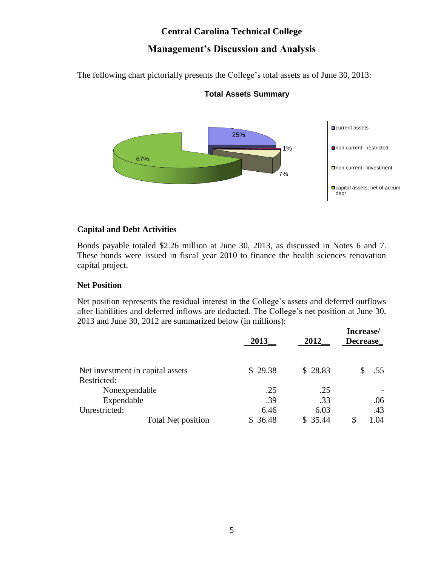# **Central Carolina Technical College Management's Discussion and Analysis**

The following chart pictorially presents the College's total assets as of June 30, 2013:



**Total Assets Summary**

## **Capital and Debt Activities**

Bonds payable totaled \$2.26 million at June 30, 2013, as discussed in Notes 6 and 7. These bonds were issued in fiscal year 2010 to finance the health sciences renovation capital project.

## **Net Position**

Net position represents the residual interest in the College's assets and deferred outflows after liabilities and deferred inflows are deducted. The College's net position at June 30, 2013 and June 30, 2012 are summarized below (in millions):

|                                  | 2013    | 2012    | Increase/<br><b>Decrease</b> |
|----------------------------------|---------|---------|------------------------------|
| Net investment in capital assets | \$29.38 | \$28.83 | .55                          |
| Restricted:                      |         |         |                              |
| Nonexpendable                    | .25     | .25     |                              |
| Expendable                       | .39     | .33     | .06                          |
| Unrestricted:                    | 6.46    | 6.03    | .43                          |
| <b>Total Net position</b>        | 36.48   | 35.44   | 1.04                         |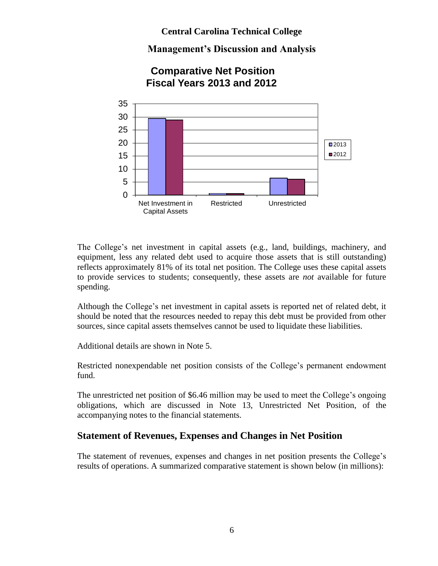# **Management's Discussion and Analysis**



# **Comparative Net Position Fiscal Years 2013 and 2012**

The College's net investment in capital assets (e.g., land, buildings, machinery, and equipment, less any related debt used to acquire those assets that is still outstanding) reflects approximately 81% of its total net position. The College uses these capital assets to provide services to students; consequently, these assets are *not* available for future spending.

Although the College's net investment in capital assets is reported net of related debt, it should be noted that the resources needed to repay this debt must be provided from other sources, since capital assets themselves cannot be used to liquidate these liabilities.

Additional details are shown in Note 5.

Restricted nonexpendable net position consists of the College's permanent endowment fund.

The unrestricted net position of \$6.46 million may be used to meet the College's ongoing obligations, which are discussed in Note 13, Unrestricted Net Position, of the accompanying notes to the financial statements.

# **Statement of Revenues, Expenses and Changes in Net Position**

The statement of revenues, expenses and changes in net position presents the College's results of operations. A summarized comparative statement is shown below (in millions):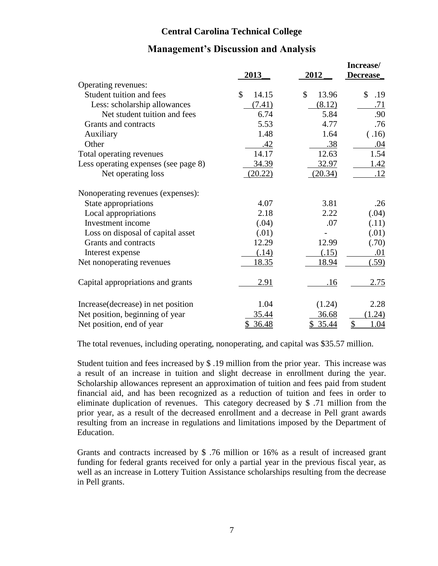| <b>Management's Discussion and Analysis</b> |  |  |
|---------------------------------------------|--|--|
|                                             |  |  |

|                                      |                        |             | Increase/   |
|--------------------------------------|------------------------|-------------|-------------|
|                                      | 2013                   | 2012        | Decrease    |
| Operating revenues:                  |                        |             |             |
| Student tuition and fees             | $\mathcal{S}$<br>14.15 | \$<br>13.96 | \$<br>.19   |
| Less: scholarship allowances         | (7.41)                 | (8.12)      | .71         |
| Net student tuition and fees         | 6.74                   | 5.84        | .90         |
| Grants and contracts                 | 5.53                   | 4.77        | .76         |
| Auxiliary                            | 1.48                   | 1.64        | (.16)       |
| Other                                | .42                    | .38         | .04         |
| Total operating revenues             | 14.17                  | 12.63       | 1.54        |
| Less operating expenses (see page 8) | 34.39                  | 32.97       | <u>1.42</u> |
| Net operating loss                   | (20.22)                | (20.34)     | .12         |
| Nonoperating revenues (expenses):    |                        |             |             |
| State appropriations                 | 4.07                   | 3.81        | .26         |
| Local appropriations                 | 2.18                   | 2.22        | (.04)       |
| Investment income                    | (.04)                  | .07         | (.11)       |
| Loss on disposal of capital asset    | (.01)                  |             | (.01)       |
| Grants and contracts                 | 12.29                  | 12.99       | (.70)       |
| Interest expense                     | (.14)                  | (.15)       | .01         |
| Net nonoperating revenues            | 18.35                  | 18.94       | (.59)       |
| Capital appropriations and grants    | 2.91                   | .16         | 2.75        |
| Increase(decrease) in net position   | 1.04                   | (1.24)      | 2.28        |
| Net position, beginning of year      | 35.44                  | 36.68       | (1.24)      |
| Net position, end of year            | 36.48                  | \$35.44     | \$<br>1.04  |

The total revenues, including operating, nonoperating, and capital was \$35.57 million.

Student tuition and fees increased by \$ .19 million from the prior year. This increase was a result of an increase in tuition and slight decrease in enrollment during the year. Scholarship allowances represent an approximation of tuition and fees paid from student financial aid, and has been recognized as a reduction of tuition and fees in order to eliminate duplication of revenues. This category decreased by \$ .71 million from the prior year, as a result of the decreased enrollment and a decrease in Pell grant awards resulting from an increase in regulations and limitations imposed by the Department of Education.

Grants and contracts increased by \$ .76 million or 16% as a result of increased grant funding for federal grants received for only a partial year in the previous fiscal year, as well as an increase in Lottery Tuition Assistance scholarships resulting from the decrease in Pell grants.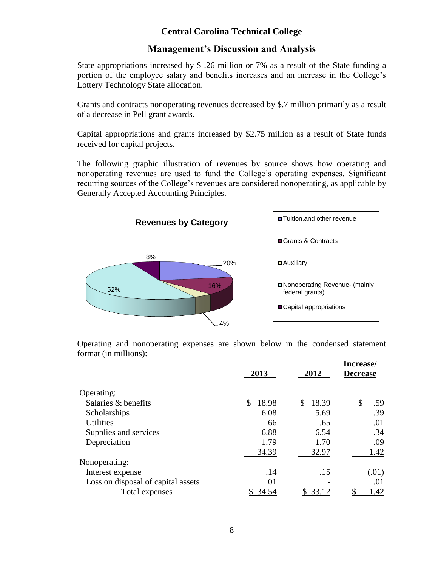# **Management's Discussion and Analysis**

State appropriations increased by \$ .26 million or 7% as a result of the State funding a portion of the employee salary and benefits increases and an increase in the College's Lottery Technology State allocation.

Grants and contracts nonoperating revenues decreased by \$.7 million primarily as a result of a decrease in Pell grant awards.

Capital appropriations and grants increased by \$2.75 million as a result of State funds received for capital projects.

The following graphic illustration of revenues by source shows how operating and nonoperating revenues are used to fund the College's operating expenses. Significant recurring sources of the College's revenues are considered nonoperating, as applicable by Generally Accepted Accounting Principles.



Operating and nonoperating expenses are shown below in the condensed statement format (in millions):

|                                    | 2013        | 2012        | Increase/<br><b>Decrease</b> |
|------------------------------------|-------------|-------------|------------------------------|
| Operating:                         |             |             |                              |
| Salaries & benefits                | \$<br>18.98 | \$<br>18.39 | \$<br>.59                    |
| Scholarships                       | 6.08        | 5.69        | .39                          |
| <b>Utilities</b>                   | .66         | .65         | .01                          |
| Supplies and services              | 6.88        | 6.54        | .34                          |
| Depreciation                       | 1.79        | 1.70        | .09                          |
|                                    | 34.39       | 32.97       | 1.42                         |
| Nonoperating:                      |             |             |                              |
| Interest expense                   | .14         | .15         | (.01)                        |
| Loss on disposal of capital assets | .01         |             | .01                          |
| Total expenses                     | 34.54       | 33.12       | 1.42                         |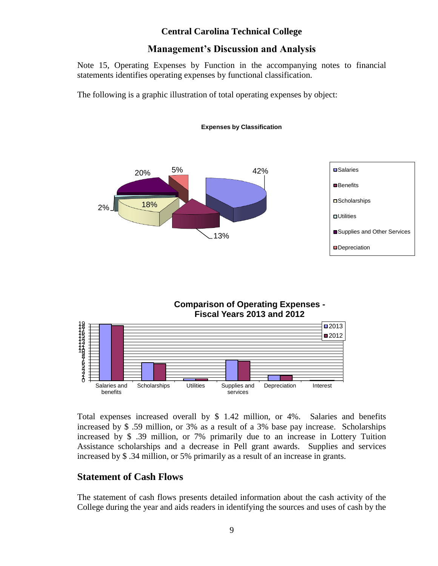# **Management's Discussion and Analysis**

Note 15, Operating Expenses by Function in the accompanying notes to financial statements identifies operating expenses by functional classification.

The following is a graphic illustration of total operating expenses by object:



**Expenses by Classification**

**Comparison of Operating Expenses - Fiscal Years 2013 and 2012**



Total expenses increased overall by \$ 1.42 million, or 4%. Salaries and benefits increased by \$ .59 million, or 3% as a result of a 3% base pay increase. Scholarships increased by \$ .39 million, or 7% primarily due to an increase in Lottery Tuition Assistance scholarships and a decrease in Pell grant awards. Supplies and services increased by \$ .34 million, or 5% primarily as a result of an increase in grants.

## **Statement of Cash Flows**

The statement of cash flows presents detailed information about the cash activity of the College during the year and aids readers in identifying the sources and uses of cash by the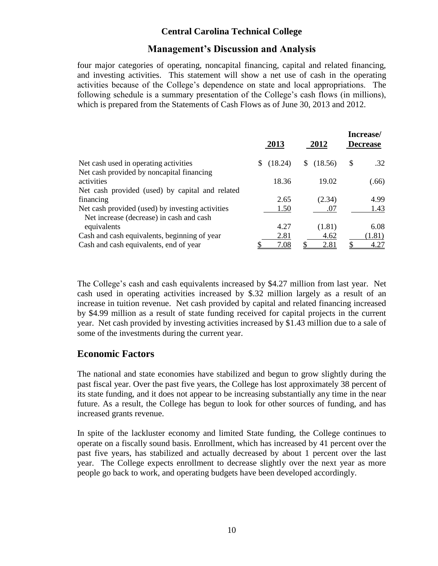## **Management's Discussion and Analysis**

four major categories of operating, noncapital financing, capital and related financing, and investing activities. This statement will show a net use of cash in the operating activities because of the College's dependence on state and local appropriations. The following schedule is a summary presentation of the College's cash flows (in millions), which is prepared from the Statements of Cash Flows as of June 30, 2013 and 2012.

|                                                                                              | 2013           | 2012      | Increase/<br><b>Decrease</b> |
|----------------------------------------------------------------------------------------------|----------------|-----------|------------------------------|
| Net cash used in operating activities                                                        | (18.24)<br>\$. | \$(18.56) | \$<br>.32 <sub>1</sub>       |
| Net cash provided by noncapital financing<br>activities                                      | 18.36          | 19.02     | (.66)                        |
| Net cash provided (used) by capital and related                                              |                |           |                              |
| financing                                                                                    | 2.65           | (2.34)    | 4.99                         |
| Net cash provided (used) by investing activities<br>Net increase (decrease) in cash and cash | 1.50           | .07       | 1.43                         |
| equivalents                                                                                  | 4.27           | (1.81)    | 6.08                         |
| Cash and cash equivalents, beginning of year                                                 | 2.81           | 4.62      | (1.81)                       |
| Cash and cash equivalents, end of year                                                       | 7.08           | 2.81      | 4.27                         |

The College's cash and cash equivalents increased by \$4.27 million from last year. Net cash used in operating activities increased by \$.32 million largely as a result of an increase in tuition revenue. Net cash provided by capital and related financing increased by \$4.99 million as a result of state funding received for capital projects in the current year. Net cash provided by investing activities increased by \$1.43 million due to a sale of some of the investments during the current year.

## **Economic Factors**

The national and state economies have stabilized and begun to grow slightly during the past fiscal year. Over the past five years, the College has lost approximately 38 percent of its state funding, and it does not appear to be increasing substantially any time in the near future. As a result, the College has begun to look for other sources of funding, and has increased grants revenue.

In spite of the lackluster economy and limited State funding, the College continues to operate on a fiscally sound basis. Enrollment, which has increased by 41 percent over the past five years, has stabilized and actually decreased by about 1 percent over the last year. The College expects enrollment to decrease slightly over the next year as more people go back to work, and operating budgets have been developed accordingly.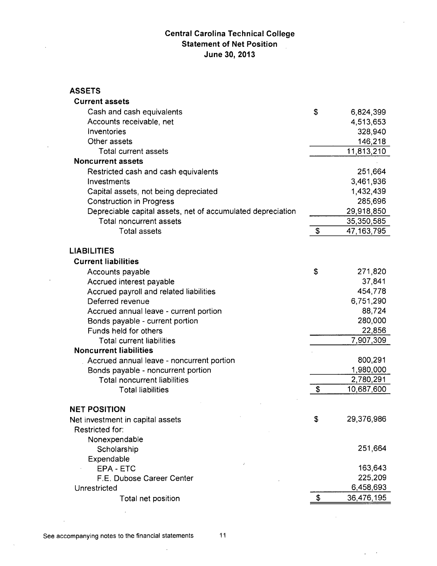## **Central Carolina Technical College Statement of Net Position June 30, 2013**

## **ASSETS**

 $\ddot{\phantom{a}}$ 

 $\ddot{\phantom{0}}$ 

 $\hat{\mathbf{r}}$ 

| <b>Current assets</b>                                       |    |                    |
|-------------------------------------------------------------|----|--------------------|
| Cash and cash equivalents                                   | \$ | 6,824,399          |
| Accounts receivable, net                                    |    | 4,513,653          |
| Inventories                                                 |    | 328,940            |
| Other assets                                                |    | 146,218            |
| <b>Total current assets</b>                                 |    | 11,813,210         |
| <b>Noncurrent assets</b>                                    |    |                    |
| Restricted cash and cash equivalents                        |    | 251,664            |
| Investments                                                 |    | 3,461,936          |
| Capital assets, not being depreciated                       |    | 1,432,439          |
| <b>Construction in Progress</b>                             |    | 285,696            |
| Depreciable capital assets, net of accumulated depreciation |    | 29,918,850         |
| <b>Total noncurrent assets</b>                              |    | 35,350,585         |
| <b>Total assets</b>                                         | \$ | 47, 163, 795       |
|                                                             |    |                    |
| <b>LIABILITIES</b>                                          |    |                    |
| <b>Current liabilities</b>                                  |    |                    |
| Accounts payable                                            | \$ | 271,820            |
| Accrued interest payable                                    |    | 37,841             |
| Accrued payroll and related liabilities                     |    | 454,778            |
| Deferred revenue                                            |    | 6,751,290          |
| Accrued annual leave - current portion                      |    | 88,724             |
| Bonds payable - current portion                             |    | 280,000            |
| Funds held for others                                       |    | 22,856             |
| <b>Total current liabilities</b>                            |    | 7,907,309          |
| <b>Noncurrent liabilities</b>                               |    |                    |
| Accrued annual leave - noncurrent portion                   |    | 800,291            |
| Bonds payable - noncurrent portion                          |    | 1,980,000          |
| <b>Total noncurrent liabilities</b>                         |    | 2,780,291          |
| <b>Total liabilities</b>                                    | \$ | 10,687,600         |
| <b>NET POSITION</b>                                         |    |                    |
|                                                             | S  | 29,376,986         |
| Net investment in capital assets<br>Restricted for:         |    |                    |
|                                                             |    |                    |
| Nonexpendable                                               |    | 251,664            |
| Scholarship                                                 |    |                    |
| Expendable                                                  |    |                    |
| EPA - ETC                                                   |    | 163,643<br>225,209 |
| F.E. Dubose Career Center                                   |    | 6,458,693          |
| Unrestricted                                                |    |                    |
| Total net position                                          | \$ | 36,476,195         |

 $\mathcal{L}_{\mathcal{L}}$ 

 $\Delta$ 

 $\bar{z}$ 

 $\ddot{\phantom{a}}$ 

 $\mathcal{L}^{\mathcal{A}}$ 

 $\mathcal{L}^{\mathcal{L}}(\mathcal{F})$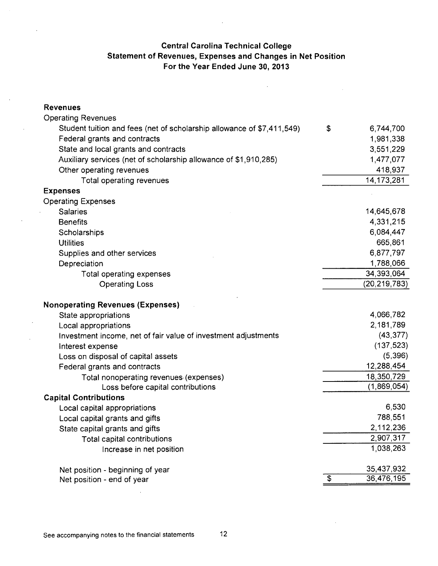# **Statement of Revenues, Expenses and Changes in Net Position**

 $\mathcal{A}$ 

 $\mathcal{A}$ 

**For the Year Ended June 30, 2013** 

| <b>Revenues</b>                                                        |                |              |
|------------------------------------------------------------------------|----------------|--------------|
| <b>Operating Revenues</b>                                              |                |              |
| Student tuition and fees (net of scholarship allowance of \$7,411,549) | \$             | 6,744,700    |
| Federal grants and contracts                                           |                | 1,981,338    |
| State and local grants and contracts                                   |                | 3,551,229    |
| Auxiliary services (net of scholarship allowance of \$1,910,285)       |                | 1,477,077    |
| Other operating revenues                                               |                | 418,937      |
| Total operating revenues                                               |                | 14,173,281   |
| <b>Expenses</b>                                                        |                |              |
| <b>Operating Expenses</b>                                              |                |              |
| <b>Salaries</b>                                                        |                | 14,645,678   |
| <b>Benefits</b>                                                        |                | 4,331,215    |
| Scholarships                                                           |                | 6,084,447    |
| <b>Utilities</b>                                                       |                | 665,861      |
| Supplies and other services                                            |                | 6,877,797    |
| Depreciation                                                           |                | 1,788,066    |
| Total operating expenses                                               |                | 34,393,064   |
| <b>Operating Loss</b>                                                  |                | (20,219,783) |
| <b>Nonoperating Revenues (Expenses)</b>                                |                |              |
| State appropriations                                                   |                | 4,066,782    |
| Local appropriations                                                   |                | 2,181,789    |
| Investment income, net of fair value of investment adjustments         |                | (43, 377)    |
| Interest expense                                                       |                | (137, 523)   |
| Loss on disposal of capital assets                                     |                | (5,396)      |
| Federal grants and contracts                                           |                | 12,288,454   |
| Total nonoperating revenues (expenses)                                 |                | 18,350,729   |
| Loss before capital contributions                                      |                | (1,869,054)  |
| <b>Capital Contributions</b>                                           |                |              |
| Local capital appropriations                                           |                | 6,530        |
| Local capital grants and gifts                                         |                | 788,551      |
| State capital grants and gifts                                         |                | 2,112,236    |
| Total capital contributions                                            |                | 2,907,317    |
| Increase in net position                                               |                | 1,038,263    |
| Net position - beginning of year                                       |                | 35,437,932   |
| Net position - end of year                                             | $\mathfrak{F}$ | 36,476,195   |

 $\mathbb{R}^2$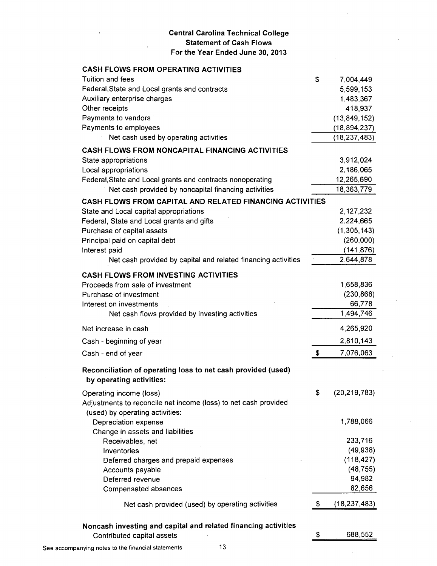## **Central Carolina Technical College Statement of Cash Flows For the Year Ended June 30, 2013**

 $\mathcal{L}$ 

| <b>CASH FLOWS FROM OPERATING ACTIVITIES</b>                                                                                   |                      |
|-------------------------------------------------------------------------------------------------------------------------------|----------------------|
| Tuition and fees                                                                                                              | \$<br>7,004,449      |
| Federal, State and Local grants and contracts                                                                                 | 5,599,153            |
| Auxiliary enterprise charges                                                                                                  | 1,483,367            |
| Other receipts                                                                                                                | 418,937              |
| Payments to vendors                                                                                                           | (13,849,152)         |
| Payments to employees                                                                                                         | (18, 894, 237)       |
| Net cash used by operating activities                                                                                         | (18, 237, 483)       |
| <b>CASH FLOWS FROM NONCAPITAL FINANCING ACTIVITIES</b>                                                                        |                      |
| State appropriations                                                                                                          | 3,912,024            |
| Local appropriations                                                                                                          | 2,186,065            |
| Federal, State and Local grants and contracts nonoperating                                                                    | 12,265,690           |
| Net cash provided by noncapital financing activities                                                                          | 18,363,779           |
| <b>CASH FLOWS FROM CAPITAL AND RELATED FINANCING ACTIVITIES</b>                                                               |                      |
| State and Local capital appropriations                                                                                        | 2,127,232            |
| Federal, State and Local grants and gifts                                                                                     | 2,224,665            |
| Purchase of capital assets                                                                                                    | (1, 305, 143)        |
| Principal paid on capital debt                                                                                                | (260,000)            |
| Interest paid                                                                                                                 | (141, 876)           |
| Net cash provided by capital and related financing activities                                                                 | 2,644,878            |
|                                                                                                                               |                      |
| <b>CASH FLOWS FROM INVESTING ACTIVITIES</b>                                                                                   |                      |
| Proceeds from sale of investment                                                                                              | 1,658,836            |
| Purchase of investment                                                                                                        | (230, 868)           |
| Interest on investments                                                                                                       | 66,778<br>1,494,746  |
| Net cash flows provided by investing activities                                                                               |                      |
| Net increase in cash                                                                                                          | 4,265,920            |
| Cash - beginning of year                                                                                                      | 2,810,143            |
| Cash - end of year                                                                                                            | \$<br>7,076,063      |
| Reconciliation of operating loss to net cash provided (used)<br>by operating activities:                                      |                      |
| Operating income (loss)<br>Adjustments to reconcile net income (loss) to net cash provided<br>(used) by operating activities: | \$<br>(20, 219, 783) |
| Depreciation expense<br>Change in assets and liabilities                                                                      | 1,788,066            |
| Receivables, net                                                                                                              | 233,716              |
| Inventories                                                                                                                   | (49, 938)            |
| Deferred charges and prepaid expenses                                                                                         | (118, 427)           |
| Accounts payable                                                                                                              | (48, 755)            |
| Deferred revenue                                                                                                              | 94,982               |
| Compensated absences                                                                                                          | 82,656               |
| Net cash provided (used) by operating activities                                                                              | \$<br>(18, 237, 483) |
| Noncash investing and capital and related financing activities<br>Contributed capital assets                                  | \$<br>688,552        |

 $\bar{\alpha}$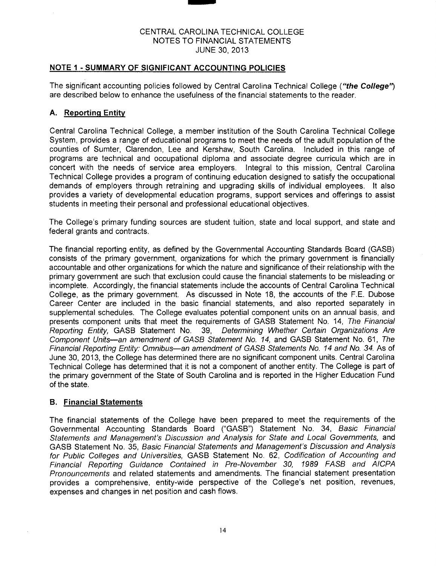## **NOTE 1 -SUMMARY OF SIGNIFICANT ACCOUNTING POLICIES**

The significant accounting policies followed by Central Carolina Technical College **("the College'}**  are described below to enhance the usefulness of the financial statements to the reader.

## **A. Reporting Entity**

Central Carolina Technical College, a member institution of the South Carolina Technical College System, provides a range of educational programs to meet the needs of the adult population of the counties of Sumter, Clarendon, Lee and Kershaw, South Carolina. Included in this range of programs are technical and occupational diploma and associate degree curricula which are in concert with the needs of service area employers. Integral to this mission, Central Carolina Technical College provides a program of continuing education designed to satisfy the occupational demands of employers through retraining and upgrading skills of individual employees. It also provides a variety of developmental education programs, support services and offerings to assist students in meeting their personal and professional educational objectives.

The College's primary funding sources are student tuition, state and local support, and state and federal grants and contracts.

The financial reporting entity, as defined by the Governmental Accounting Standards Board (GASB) consists of the primary government, organizations for which the primary government is financially accountable and other organizations for which the nature and significance of their relationship with the primary government are such that exclusion could cause the financial statements to be misleading or incomplete. Accordingly, the financial statements include the accounts of Central Carolina Technical College, as the primary government. As discussed in Note 18, the accounts of the F.E. Dubose Career Center are included in the basic financial statements, and also reported separately in supplemental schedules. The College evaluates potential component units on an annual basis, and presents component units that meet the requirements of GASB Statement No. 14, The Financial Reporting Entity, GASB Statement No. 39, Determining Whether Certain Organizations Are Component Units-an amendment of GASB Statement No. 14, and GASB Statement No. 61, The Financial Reporting Entity: Omnibus-an amendment of GASB Statements No. 14 and No. 34. As of June 30, 2013, the College has determined there are no significant component units. Central Carolina Technical College has determined that it is not a component of another entity. The College is part of the primary government of the State of South Carolina and is reported in the Higher Education Fund of the state.

#### **B. Financial Statements**

The financial statements of the College have been prepared to meet the requirements of the Governmental Accounting Standards Board ("GASB") Statement No. 34, Basic Financial Statements and Management's Discussion and Analysis for State and Local Governments, and GASB Statement No. 35, Basic Financial Statements and Management's Discussion and Analysis for Public Colleges and Universities, GASB Statement No. 62, Codification of Accounting and Financial Reporting Guidance Contained in Pre-November 30, 1989 FASB and A/CPA Pronouncements and related statements and amendments. The financial statement presentation provides a comprehensive, entity-wide perspective of the College's net position, revenues, expenses and changes in net position and cash flows.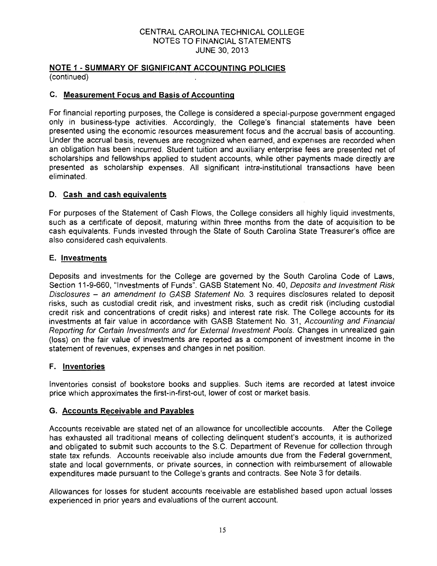#### **NOTE 1 -SUMMARY OF SIGNIFICANT ACCOUNTING POLICIES**  (continued)

## **C. Measurement Focus and Basis of Accounting**

For financial reporting purposes, the College is considered a special-purpose government engaged only in business-type activities. Accordingly, the College's financial statements have been presented using the economic resources measurement focus and the accrual basis of accounting. Under the accrual basis, revenues are recognized when earned, and expenses are recorded when an obligation has been incurred. Student tuition and auxiliary enterprise fees are presented net of scholarships and fellowships applied to student accounts, while other payments made directly are presented as scholarship expenses. All significant intra-institutional transactions have been eliminated.

## **D. Cash and cash equivalents**

For purposes of the Statement of Cash Flows, the College considers all highly liquid investments, such as a certificate of deposit, maturing within three months from the date of acquisition to be cash equivalents. Funds invested through the State of South Carolina State Treasurer's office are also considered cash equivalents.

## **E. Investments**

Deposits and investments for the College are governed by the South Carolina Code of Laws, Section 11-9-660, "Investments of Funds". GASB Statement No. 40, Deposits and Investment Risk Disclosures - an amendment to GASB Statement No. 3 requires disclosures related to deposit risks, such as custodial credit risk, and investment risks, such as credit risk (including custodial credit risk and concentrations of credit risks) and interest rate risk. The College accounts for its investments at fair value in accordance with GASB Statement No. 31, Accounting and Financial Reporting for Certain Investments and for External Investment Pools. Changes in unrealized gain (loss) on the fair value of investments are reported as a component of investment income in the statement of revenues, expenses and changes in net position.

#### **F. Inventories**

Inventories consist of bookstore books and supplies. Such items are recorded at latest invoice price which approximates the first-in-first-out, lower of cost or market basis.

#### **G. Accounts Receivable and Payables**

Accounts receivable are stated net of an allowance for uncollectible accounts. After the College has exhausted all traditional means of collecting delinquent student's accounts, it is authorized and obligated to submit such accounts to the S.C. Department of Revenue for collection through state tax refunds. Accounts receivable also include amounts due from the Federal government, state and local governments, or private sources, in connection with reimbursement of allowable expenditures made pursuant to the College's grants and contracts. See Note 3 for details.

Allowances for losses for student accounts receivable are established based upon actual losses experienced in prior years and evaluations of the current account.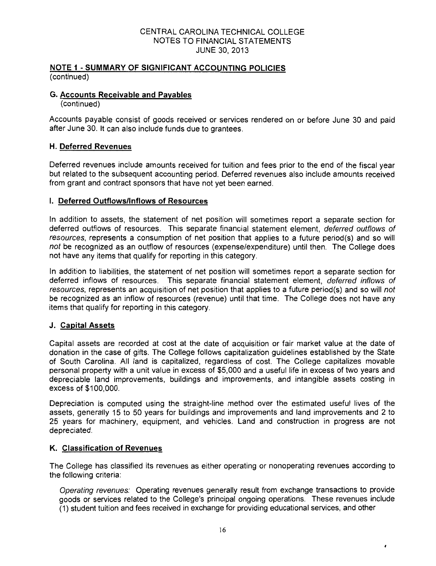# **NOTE 1 - SUMMARY OF SIGNIFICANT ACCOUNTING POLICIES**

(continued)

## **G. Accounts Receivable and Payables**

(continued)

Accounts payable consist of goods received or services rendered on or before June 30 and paid after June 30. It can also include funds due to grantees.

## **H. Deferred Revenues**

Deferred revenues include amounts received for tuition and fees prior to the end of the fiscal year but related to the subsequent accounting period. Deferred revenues also include amounts received from grant and contract sponsors that have not yet been earned.

## I. **Deferred Outflows/Inflows of Resources**

In addition to assets, the statement of net position will sometimes report a separate section for deferred outflows of resources. This separate financial statement element, deferred outflows of resources, represents a consumption of net position that applies to a future period(s) and so will not be recognized as an outflow of resources (expense/expenditure) until then. The College does not have any items that qualify for reporting in this category.

In addition to liabilities, the statement of net position will sometimes report a separate section for deferred inflows of resources. This separate financial statement element, deferred inflows of resources, represents an acquisition of net position that applies to a future period(s) and so will not be recognized as an inflow of resources (revenue) until that time. The College does not have any items that qualify for reporting in this category.

## **J. Capital Assets**

Capital assets are recorded at cost at the date of acquisition or fair market value at the date of donation in the case of gifts. The College follows capitalization guidelines established by the State of South Carolina. All land is capitalized, regardless of cost. The College capitalizes movable personal property with a unit value in excess of \$5,000 and a useful life in excess of two years and depreciable land improvements, buildings and improvements, and intangible assets costing in excess of \$100,000.

Depreciation is computed using the straight-line method over the estimated useful lives of the assets, generally 15 to 50 years for buildings and improvements and land improvements and 2 to 25 years for machinery, equipment, and vehicles. Land and construction in progress are not depreciated.

## **K. Classification of Revenues**

The College has classified its revenues as either operating or nonoperating revenues according to the following criteria:

Operating revenues: Operating revenues generally result from exchange transactions to provide goods or services related to the College's principal ongoing operations. These revenues include (1) student tuition and fees received in exchange for providing educational services, and other

 $\bullet$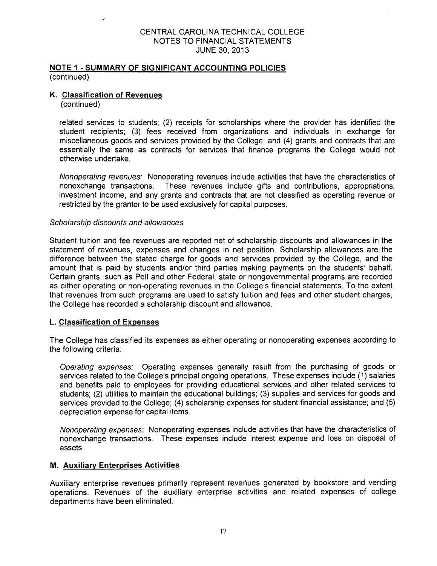#### **NOTE 1 -SUMMARY OF SIGNIFICANT ACCOUNTING POLICIES**  (continued)

#### **K. Classification of Revenues**

(continued)

related services to students; (2) receipts for scholarships where the provider has identified the student recipients; (3) fees received from organizations and individuals in exchange for miscellaneous goods and services provided by the College; and (4) grants and contracts that are essentially the same as contracts for services that finance programs the College would not otherwise undertake.

Nonoperating revenues: Nonoperating revenues include activities that have the characteristics of nonexchange transactions. These revenues include gifts and contributions, appropriations, investment income, and any grants and contracts that are not classified as operating revenue or restricted by the grantor to be used exclusively for capital purposes.

#### Scholarship discounts and allowances

Student tuition and fee revenues are reported net of scholarship discounts and allowances in the statement of revenues, expenses and changes in net position. Scholarship allowances are the difference between the stated charge for goods and services provided by the College, and the amount that is paid by students and/or third parties making payments on the students' behalf. Certain grants, such as Pell and other Federal, state or nongovernmental programs are recorded as either operating or non-operating revenues in the College's financial statements. To the extent that revenues from such programs are used to satisfy tuition and fees and other student charges, the College has recorded a scholarship discount and allowance.

#### **L. Classification of Expenses**

The College has classified its expenses as either operating or nonoperating expenses according to the following criteria:

Operating expenses: Operating expenses generally result from the purchasing of goods or services related to the College's principal ongoing operations. These expenses include (1) salaries and benefits paid to employees for providing educational services and other related services to students; (2) utilities to maintain the educational buildings; (3) supplies and services for goods and services provided to the College; (4) scholarship expenses for student financial assistance; and (5) depreciation expense for capital items.

Nonoperating expenses: Nonoperating expenses include activities that have the characteristics of nonexchange transactions. These expenses include interest expense and loss on disposal of assets.

#### **M. Auxiliary Enterprises Activities**

Auxiliary enterprise revenues primarily represent revenues generated by bookstore and vending operations. Revenues of the auxiliary enterprise activities and related expenses of college departments have been eliminated.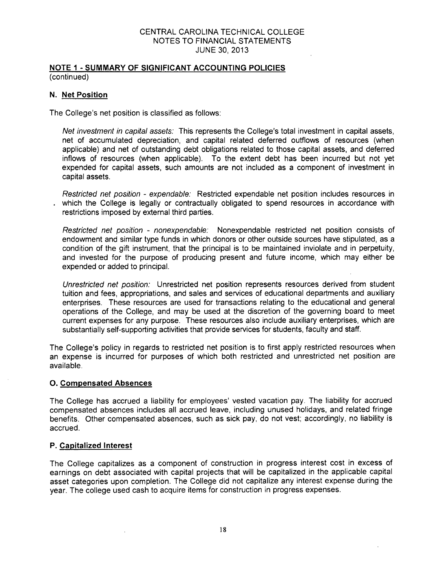#### **NOTE 1 -SUMMARY OF SIGNIFICANT ACCOUNTING POLICIES**  (continued)

#### **N. Net Position**

The College's net position is classified as follows:

Net investment in capital assets: This represents the College's total investment in capital assets, net of accumulated depreciation, and capital related deferred outflows of resources (when applicable) and net of outstanding debt obligations related to those capital assets, and deferred inflows of resources (when applicable). To the extent debt has been incurred but not yet expended for capital assets, such amounts are not included as a component of investment in capital assets.

Restricted net position - expendable: Restricted expendable net position includes resources in which the College is legally or contractually obligated to spend resources in accordance with restrictions imposed by external third parties.

Restricted net position - nonexpendable: Nonexpendable restricted net position consists of endowment and similar type funds in which donors or other outside sources have stipulated, as a condition of the gift instrument, that the principal is to be maintained inviolate and in perpetuity, and invested for the purpose of producing present and future income, which may either be expended or added to principal.

Unrestricted net position: Unrestricted net position represents resources derived from student tuition and fees, appropriations, and sales and services of educational departments and auxiliary enterprises. These resources are used for transactions relating to the educational and general operations of the College, and may be used at the discretion of the governing board to meet current expenses for any purpose. These resources also include auxiliary enterprises, which are substantially self-supporting activities that provide services for students, faculty and staff.

The College's policy in regards to restricted net position is to first apply restricted resources when an expense is incurred for purposes of which both restricted and unrestricted net position are available.

#### **0. Compensated Absences**

The College has accrued a liability for employees' vested vacation pay. The liability for accrued compensated absences includes all accrued leave, including unused holidays, and related fringe benefits. Other compensated absences, such as sick pay, do not vest; accordingly, no liability is accrued.

#### **P. Capitalized Interest**

The College capitalizes as a component of construction in progress interest cost in excess of earnings on debt associated with capital projects that will be capitalized in the applicable capital asset categories upon completion. The College did not capitalize any interest expense during the year. The college used cash to acquire items for construction in progress expenses.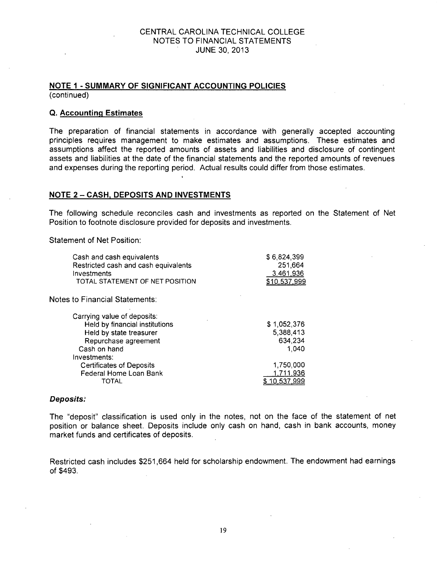# **NOTE 1 -SUMMARY OF SIGNIFICANT ACCOUNTING POLICIES**

(continued)

#### *Q.* **Accounting Estimates**

The preparation of financial statements in accordance with generally accepted accounting principles requires management to make estimates and assumptions. These estimates and assumptions affect the reported amounts of assets and liabilities and disclosure of contingent assets and liabilities at the date of the financial statements and the reported amounts of revenues and expenses during the reporting period. Actual results could differ from those estimates.

#### **NOTE 2- CASH, DEPOSITS AND INVESTMENTS**

The following schedule reconciles cash and investments as reported on the Statement of Net Position to footnote disclosure provided for deposits and investments.

Statement of Net Position:

| Cash and cash equivalents                                                                                                                        | \$6,824,399                                  |
|--------------------------------------------------------------------------------------------------------------------------------------------------|----------------------------------------------|
| Restricted cash and cash equivalents                                                                                                             | 251,664                                      |
| Investments                                                                                                                                      | 3.461,936                                    |
| TOTAL STATEMENT OF NET POSITION                                                                                                                  | \$10,537,999                                 |
| Notes to Financial Statements:                                                                                                                   |                                              |
| Carrying value of deposits:<br>Held by financial institutions<br>Held by state treasurer<br>Repurchase agreement<br>Cash on hand<br>Investments: | \$1,052,376<br>5,388,413<br>634,234<br>1.040 |
| <b>Certificates of Deposits</b>                                                                                                                  | 1,750,000                                    |
| Federal Home Loan Bank                                                                                                                           | 1,711,936                                    |
| TOTAL                                                                                                                                            | <u>10,537,999</u>                            |

#### **Deposits:**

The "deposit" classification is used only in the notes, not on the face of the statement of net position or balance sheet. Deposits include only cash on hand, cash in bank accounts, money market funds and certificates of deposits.

Restricted cash includes \$251,664 held for scholarship endowment. The endowment had earnings of \$493.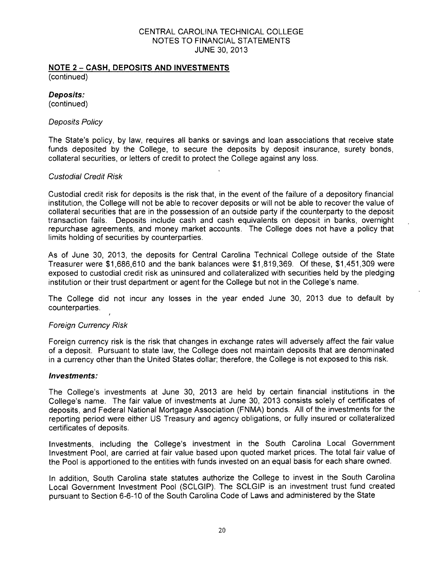## **NOTE 2- CASH, DEPOSITS AND INVESTMENTS**

(continued)

#### **Deposits:**

(continued)

#### Deposits Policy

The State's policy, by law, requires all banks or savings and loan associations that receive state funds deposited by the College, to secure the deposits by deposit insurance, surety bonds, collateral securities, or letters of credit to protect the College against any loss.

#### Custodial Credit Risk

Custodial credit risk for deposits is the risk that, in the event of the failure of a depository financial institution, the College will not be able to recover deposits or will not be able to recover the value of collateral securities that are in the possession of an outside party if the counterparty to the deposit transaction fails. Deposits include cash and cash equivalents on deposit in banks, overnight repurchase agreements, and money market accounts. The College does not have a policy that limits holding of securities by counterparties.

As of June 30, 2013, the deposits for Central Carolina Technical College outside of the State Treasurer were \$1,686,610 and the bank balances were \$1,819,369. Of these, \$1,451,309 were exposed to custodial credit risk as uninsured and collateralized with securities held by the pledging institution or their trust department or agent for the College but not in the College's name.

The College did not incur any losses in the year ended June 30, 2013 due to default by counterparties.

#### Foreign Currency Risk

Foreign currency risk is the risk that changes in exchange rates will adversely affect the fair value of a deposit. Pursuant to state law, the College does not maintain deposits that are denominated in a currency other than the United States dollar; therefore, the College is not exposed to this risk.

#### **Investments:**

The College's investments at June 30, 2013 are held by certain financial institutions in the College's name. The fair value of investments at June 30, 2013 consists solely of certificates of · deposits, and Federal National Mortgage Association (FNMA) bonds. All of the investments for the reporting period were either US Treasury and agency obligations, or fully insured or collateralized certificates of deposits.

Investments, including the College's investment in the South Carolina Local Government Investment Pool, are carried at fair value based upon quoted market prices. The total fair value of the Pool is apportioned to the entities with funds invested on an equal basis for each share owned.

In addition, South Carolina state statutes authorize the College to invest in the South Carolina Local Government Investment Pool (SCLGIP). The SCLGIP is an investment trust fund created pursuant to Section 6-6-10 of the South Carolina Code of Laws and administered by the State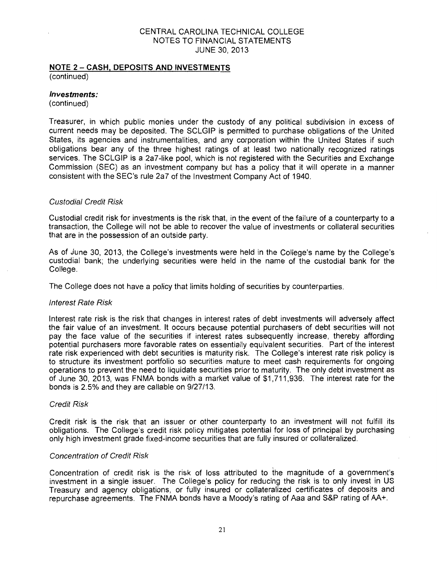#### **NOTE 2- CASH, DEPOSITS AND INVESTMENTS**

(continued)

#### **Investments:**

(continued)

Treasurer, in which public monies under the custody of any political subdivision in excess of current needs may be deposited. The SCLGIP is permitted to purchase obligations of the United States, its agencies and instrumentalities, and any corporation within the United States if such obligations bear any of the three highest ratings of at least two nationally recognized ratings services. The SCLGIP is a 2a7-like pool, which is not registered with the Securities and Exchange Commission (SEC) as an investment company but has a policy that it will operate in a manner consistent with the SEC's rule 2a7 of the Investment Company Act of 1940.

#### Custodial Credit Risk

Custodial credit risk for investments is the risk that, in the event of the failure of a counterparty to a transaction, the College will not be able to recover the value of investments or collateral securities that are in the possession of an outside party.

As of June 30, 2013, the College's investments were held in the College's name by the College's custodial bank; the underlying securities were held in the name of the custodial bank for the College.

The College does not have a policy that limits holding of securities by counterparties.

#### Interest Rate Risk

Interest rate risk is the risk that changes in interest rates of debt investments will adversely affect the fair value of an investment. It occurs because potential purchasers of debt securities will not pay the face value of the securities if interest rates subsequently increase, thereby affording potential purchasers more favorable rates on essentially equivalent securities. Part of the interest rate risk experienced with debt securities is maturity risk. The College's interest rate risk policy is to structure its investment portfolio so securities mature to meet cash requirements for ongoing operations to prevent the need to liquidate securities prior to maturity. The only debt investment as of June 30, 2013, was FNMA bonds with a market value of \$1,711,936. The interest rate for the bonds is 2.5% and they are callable on 9/27/13.

#### Credit Risk

Credit risk is the risk that an issuer or other counterparty to an investment will not fulfill its obligations. The College's credit risk policy mitigates potential for loss of principal by purchasing only high investment grade fixed-income securities that are fully insured or collateralized.

#### Concentration of Credit Risk

Concentration of credit risk is the risk of loss attributed to the magnitude of a government's investment in a single issuer. The College's policy for reducing the risk is to only invest in US Treasury and agency obligations, or fully insured or collateralized certificates of deposits and repurchase agreements. The FNMA bonds have a Moody's rating of Aaa and S&P rating of AA+.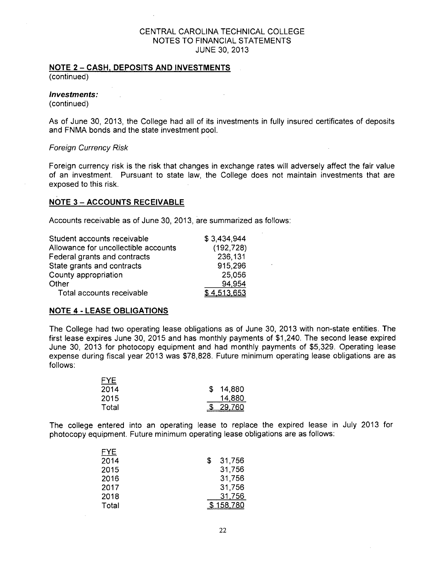## **NOTE 2 -CASH, DEPOSITS AND INVESTMENTS**

(continued)

#### **Investments:**

(continued)

As of June 30, 2013, the College had all of its investments in fully insured certificates of deposits and FNMA bonds and the state investment pool.

#### Foreign Currency Risk

Foreign currency risk is the risk that changes in exchange rates will adversely affect the fair value of an investment. Pursuant to state law, the College does not maintain investments that are exposed to this risk.

#### **NOTE 3- ACCOUNTS RECEIVABLE**

Accounts receivable as of June 30, 2013, are summarized as follows:

| Student accounts receivable          | \$3,434,944 |
|--------------------------------------|-------------|
| Allowance for uncollectible accounts | (192, 728)  |
| Federal grants and contracts         | 236,131     |
| State grants and contracts           | 915,296     |
| County appropriation                 | 25,056      |
| Other                                | 94.954      |
| Total accounts receivable            | \$4,513,653 |

#### **NOTE 4 - LEASE OBLIGATIONS**

The College had two operating lease obligations as of June 30, 2013 with non-state entities. The first lease expires June 30, 2015 and has monthly payments of \$1,240. The second lease expired June 30, 2013 for photocopy equipment and had monthly payments of \$5,329. Operating lease expense during fiscal year 2013 was \$78,828. Future minimum operating lease obligations are as follows:

| <b>FYE</b> |               |  |
|------------|---------------|--|
| 2014       | 14,880<br>S.  |  |
| 2015       | 14,880        |  |
| Total      | <u>29,760</u> |  |

The college entered into an operating lease to replace the expired lease in July 2013 for photocopy equipment. Future minimum operating lease obligations are as follows:

| FYE   |   |         |
|-------|---|---------|
| 2014  | S | 31,756  |
| 2015  |   | 31,756  |
| 2016  |   | 31,756  |
| 2017  |   | 31,756  |
| 2018  |   | 31,756  |
| Total |   | 158.780 |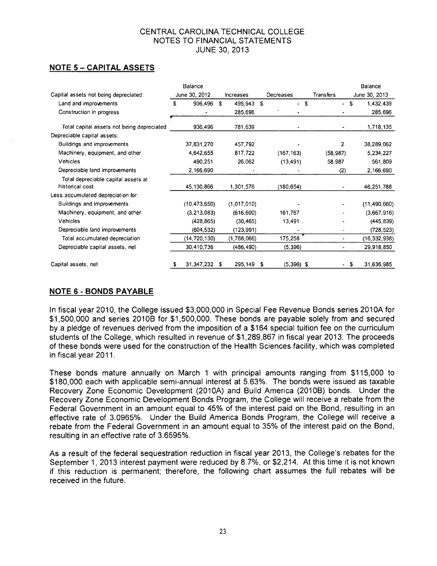## **NOTE 5 - CAPITAL ASSETS**

|                                            | Balance         |               |                     |               | Balance          |
|--------------------------------------------|-----------------|---------------|---------------------|---------------|------------------|
| Capital assets not being depreciated:      | June 30, 2012   | Increases     | Decreases           | Transfers     | June 30, 2013    |
| Land and improvements                      | £<br>936,496    | S<br>495,943  | -S<br>$\sim$        | <b>S</b><br>٠ | S<br>1,432,439   |
| Construction in progress                   |                 | 285,696       |                     |               | 285,696          |
| Total capital assets not being depreciated | 936,496         | 781,639       |                     |               | 1,718,135        |
| Depreciable capital assets:                |                 |               |                     |               |                  |
| Buildings and improvements                 | 37,831,270      | 457,792       |                     | 2             | 38,289,062       |
| Machinery, equipment, and other            | 4,642,655       | 817,722       | (167, 163)          | (58, 987)     | 5,234,227        |
| Vehicles                                   | 490,251         | 26,062        | (13, 491)           | 58,987        | 561,809          |
| Depreciable land improvements              | 2,166,690       |               |                     | (2)           | 2,166,690        |
| Total depreciable capital assets at        |                 |               |                     |               |                  |
| historical cost                            | 45,130,866      | 1,301,576     | (180, 654)          |               | 46,251,788       |
| Less accumulated depreciation for:         |                 |               |                     |               |                  |
| Buildings and improvements                 | (10, 473, 650)  | (1,017,010)   |                     |               | (11,490,660)     |
| Machinery, equipment, and other            | (3, 213, 083)   | (616, 600)    | 161 767             |               | (3,667,916)      |
| Vehicles                                   | (428, 865)      | (30, 465)     | 13,491              |               | (445, 839)       |
| Depreciable land improvements              | (604, 532)      | (123, 991)    |                     |               | (728, 523)       |
| Total accumulated depreciation             | (14, 720, 130)  | (1,788,066)   | 175,258             |               | (16, 332, 938)   |
| Depreciable capital assets, net            | 30,410,736      | (486, 490)    | (5,396)             |               | 29,918,850       |
| Capital assets, net                        | 31,347,232<br>S | 295,149<br>\$ | $(5.396)$ \$<br>- S |               | 31,636,985<br>-5 |

## **NOTE 6- BONDS PAYABLE**

In fiscal year 2010, the College issued \$3,000,000 in Special Fee Revenue Bonds series 2010A for \$1,500,000 and series 2010B for \$1,500,000. These bonds are payable solely from and secured by a pledge of revenues derived from the imposition of a \$164 special tuition fee on the curriculum students of the College, which resulted in revenue of \$1,289,867 in fiscal year 2013. The proceeds of these bonds were used for the construction of the Health Sciences facility, which was completed in fiscal year 2011.

These bonds mature annually on March 1 with principal amounts ranging from \$115,000 to \$180,000 each with applicable semi-annual interest at 5.63%. The bonds were issued as taxable Recovery Zone Economic Development (2010A) and Build America (2010B) bonds. Under the Recovery Zone Economic Development Bonds Program, the College will receive a rebate from the Federal Government in an amount equal to 45% of the interest paid on the Bond, resulting in an effective rate of 3.0965%. Under the Build America Bonds Program, the College will receive a rebate from the Federal Government in an amount equal to 35% of the interest paid on the Bond, resulting in an effective rate of 3.6595%.

As a result of the federal sequestration reduction in fiscal year 2013, the College's rebates for the September 1, 2013 interest payment were reduced by 8.7%, or \$2,214. At this time it is not known if this reduction is permanent; therefore, the following chart assumes the full rebates will be received in the future.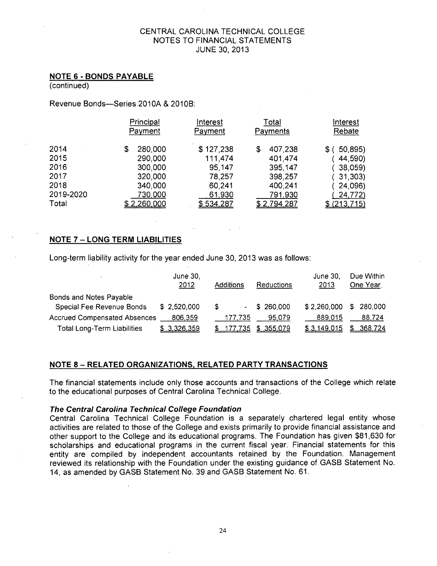#### **NOTE 6- BONDS PAYABLE**

(continued)

Revenue Bonds-Series 2010A & 2010B:

|           | Principal     | Interest  | Total        | Interest    |
|-----------|---------------|-----------|--------------|-------------|
|           | Payment       | Payment   | Payments     | Rebate      |
| 2014      | 280,000<br>\$ | \$127,238 | 407,238<br>S | 50,895)     |
| 2015      | 290,000       | 111,474   | 401,474      | 44,590)     |
| 2016      | 300,000       | 95,147    | 395,147      | 38,059)     |
| 2017      | 320,000       | 78,257    | 398,257      | 31,303      |
| 2018      | 340,000       | 60,241    | 400,241      | 24,096)     |
| 2019-2020 | 730,000       | 61,930    | 791,930      | 24,772)     |
| Total     | \$2,260,000   | \$534,287 | \$2,794,287  | \$(213,715) |

#### **NOTE 7- LONG TERM LIABILITIES**

Long-term liability activity for the year ended June 30, 2013 was as follows:

|                                     | <b>June 30,</b><br>2012 | Reductions<br>Additions |           | June 30,<br>2013 | Due Within<br>One Year. |
|-------------------------------------|-------------------------|-------------------------|-----------|------------------|-------------------------|
| Bonds and Notes Payable             |                         |                         |           |                  |                         |
| Special Fee Revenue Bonds           | \$2,520,000             | S.<br>$\sim$            | \$260,000 | \$2,260,000      | - \$<br>280,000         |
| <b>Accrued Compensated Absences</b> | 806.359                 | 177.735                 | 95.079    | 889,015          | 88.724                  |
| <b>Total Long-Term Liabilities</b>  | \$3,326,359             | 177.735                 | \$355.079 | \$3.149.015      | 368,724<br>S.           |

#### **NOTE 8- RELATED ORGANIZATIONS, RELATED PARTY TRANSACTIONS**

The financial statements include only those accounts and transactions of the College which relate to the educational purposes of Central Carolina Technical College.

#### **The Central Carolina Technical College Foundation**

Central Carolina Technical College Foundation is a separately chartered legal entity whose activities are related to those of the Gollege and exists primarily to provide financial assistance and other support to the College and its educational programs. The Foundation has given \$81,630 for scholarships and educational programs in the current fiscal year. Financial statements for this entity are compiled by independent accountants retained by the Foundation. Management reviewed its relationship with the Foundation under the existing guidance of GASB Statement No. 14, as amended by GASB Statement No. 39 and GASB Statement No. 61.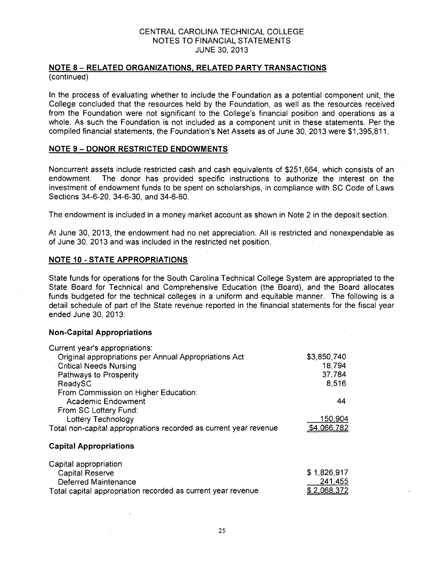#### **NOTE 8- RELATED ORGANIZATIONS, RELATED PARTY TRANSACTIONS**  (continued)

In the process of evaluating whether to include the Foundation as a potential component unit, the College concluded that the resources held by the Foundation, as well as the resources received from the Foundation were not significant to the College's financial position and operations as a whole. As such the Foundation is not included as a component unit in these statements. Per the compiled financial statements, the Foundation's Net Assets as of June 30, 2013 were \$1,395,811.

## **NOTE 9- DONOR RESTRICTED ENDOWMENTS**

Noncurrent assets include restricted cash and cash equivalents of \$251 ,664, which consists of an endowment. The donor has provided specific instructions to authorize the interest on the investment of endowment funds to be spent on scholarships, in compliance with SC Code of Laws Sections 34-6-20, 34-6-30, and 34-6-60.

The endowment is included in a money market account as shown in Note 2 in the deposit section.

At June 30, 2013, the endowment had no net appreciation. All is restricted and nonexpendable as of June 30, 2013 and was included in the restricted net position.

## **NOTE 10 - STATE APPROPRIATIONS**

State funds for operations for the South Carolina Technical College System are appropriated to the State Board for Technical and Comprehensive Education (the Board), and the Board allocates funds budgeted for the technical colleges in a uniform and equitable manner. The following is a detail schedule of part of the State revenue reported in the financial statements for the fiscal year ended June 30, 2013:

#### **Non-Capital Appropriations**

| Current year's appropriations:                                    |             |
|-------------------------------------------------------------------|-------------|
| Original appropriations per Annual Appropriations Act             | \$3,850,740 |
| <b>Critical Needs Nursing</b>                                     | 18,794      |
| Pathways to Prosperity                                            | 37,784      |
| ReadySC                                                           | 8,516       |
| From Commission on Higher Education:                              |             |
| <b>Academic Endowment</b>                                         | 44          |
| From SC Lottery Fund:                                             |             |
| Lottery Technology                                                | 150,904     |
| Total non-capital appropriations recorded as current year revenue | \$4,066,782 |
| <b>Capital Appropriations</b>                                     |             |
| Capital appropriation                                             |             |
| <b>Capital Reserve</b>                                            | \$1,826,917 |
| <b>Deferred Maintenance</b>                                       | 241,455     |
| Total capital appropriation recorded as current year revenue      | \$2,068,372 |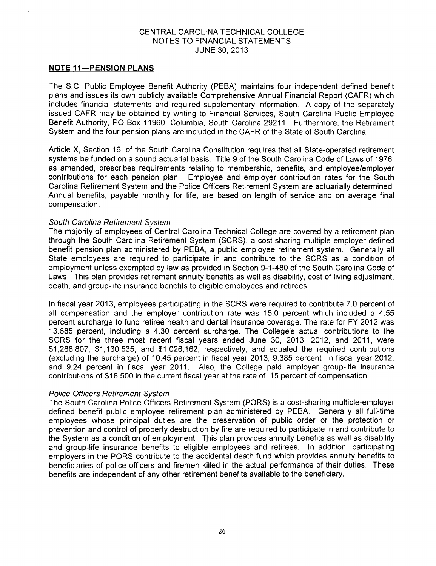#### **NOTE 11-PENSION PLANS**

The S.C. Public Employee Benefit Authority (PEBA) maintains four independent defined benefit plans and issues its own publicly available Comprehensive Annual Financial Report (CAFR) which includes financial statements and required supplementary information. A copy of the separately issued CAFR may be obtained by writing to Financial Services, South Carolina Public Employee Benefit Authority, PO Box 11960, Columbia, South Carolina 29211. Furthermore, the Retirement System and the four pension plans are included in the CAFR of the State of South Carolina.

Article X, Section 16, of the South Carolina Constitution requires that all State-operated retirement systems be funded on a sound actuarial basis. Title 9 of the South Carolina Code of Laws of 1976, as amended, prescribes requirements relating to membership, benefits, and employee/employer contributions for each pension plan. Employee and employer contribution rates for the South Carolina Retirement System and the Police Officers Retirement System are actuarially determined. Annual benefits, payable monthly for life, are based on length of service and on average final compensation.

#### South Carolina Retirement System

The majority of employees of Central Carolina Technical College are covered by a retirement plan through the South Carolina Retirement System (SCRS), a cost-sharing multiple-employer defined benefit pension plan administered by PEBA, a public employee retirement system. Generally all State employees are required to participate in and contribute to the SCRS as a condition of employment unless exempted by law as provided in Section 9-1-480 of the South Carolina Code of Laws. This plan provides retirement annuity benefits as well as disability, cost of living adjustment, death, and group-life insurance benefits to eligible employees and retirees.

In fiscal year 2013, employees participating in the SCRS were required to contribute 7.0 percent of all compensation and the employer contribution rate was 15.0 percent which included a 4.55 percent surcharge to fund retiree health and dental insurance coverage. The rate for FY 2012 was 13.685 percent, including a 4.30 percent surcharge. The College's actual contributions to the SCRS for the three most recent fiscal years ended June 30, 2013, 2012, and 2011, were \$1,288,807, \$1,130,535, and \$1,026,162, respectively, and equaled the required contributions (excluding the surcharge) of 10.45 percent in fiscal year 2013, 9.385 percent in fiscal year 2012, and 9.24 percent in fiscal year 2011. Also, the College paid employer group-life insurance contributions of \$18,500 in the current fiscal year at the rate of .15 percent of compensation.

#### Police Officers Retirement System

The South Carolina Police Officers Retirement System (PORS) is a cost-sharing multiple-employer defined benefit public employee retirement plan administered by PEBA. Generally all full-time employees whose principal duties are the preservation of public order or the protection or prevention and control of property destruction by fire are required to participate in and contribute to the System as a condition of employment. This plan provides annuity benefits as well as disability and group-life insurance benefits to eligible employees and retirees. In addition, participating employers in the PORS contribute to the accidental death fund which provides annuity benefits to beneficiaries of police officers and firemen killed in the actual performance of their duties. These benefits are independent of any other retirement benefits available to the beneficiary.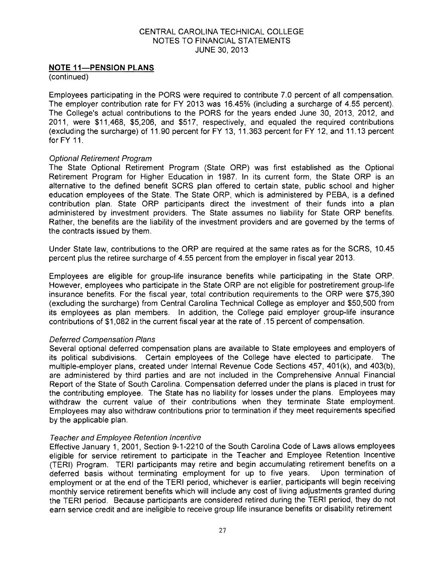#### **NOTE 11-PENSION PLANS**

(continued)

Employees participating in the PORS were required to contribute 7.0 percent of all compensation. The employer contribution rate for FY 2013 was 16.45% (including a surcharge of 4.55 percent). The College's actual contributions to the PORS for the years ended June 30, 2013, 2012, and 2011, were \$11,468, \$5,206, and \$517, respectively, and equaled the required contributions (excluding the surcharge) of 11.90 percent for FY 13, 11.363 percent for FY 12, and 11.13 percent for FY 11.

#### Optional Retirement Program

The State Optional Retirement Program (State ORP) was first established as the Optional Retirement Program for Higher Education in 1987. In its current form, the State ORP is an alternative to the defined benefit SCRS plan offered to certain state, public school and higher education employees of the State. The State ORP, which is administered by PEBA, is a defined contribution plan. State ORP participants direct the investment of their funds into a plan administered by investment providers. The State assumes no liability for State ORP benefits. Rather, the benefits are the liability of the investment providers and are governed by the terms of the contracts issued by them.

Under State law, contributions to the ORP are required at the same rates as for the SCRS, 10.45 percent plus the retiree surcharge of 4.55 percent from the employer in fiscal year 2013.

Employees are eligible for group-life insurance benefits while participating in the State ORP. However, employees who participate in the State ORP are not eligible for postretirement group-life insurance benefits. For the fiscal year, total contribution requirements to the ORP were \$75,390 (excluding the surcharge) from Central Carolina Technical College as employer and \$50,500 from its employees as plan members. In addition, the College paid employer group-life insurance contributions of \$1,082 in the current fiscal year at the rate of .15 percent of compensation.

#### Deferred Compensation Plans

Several optional deferred compensation plans are available to State employees and employers of its political subdivisions. Certain employees of the College have elected to participate. The multiple-employer plans, created under Internal Revenue Code Sections 457, 401(k), and 403(b), are administered by third parties and are not included in the Comprehensive Annual Financial Report of the State of South Carolina. Compensation deferred under the plans is placed in trust for the contributing employee. The State has no liability for losses under the plans. Employees may withdraw the current value of their contributions when they terminate State employment. Employees may also withdraw contributions prior to termination if they meet requirements specified by the applicable plan.

#### Teacher and Employee Retention Incentive

Effective January 1, 2001, Section 9-1-2210 of the South Carolina Code of Laws allows employees eligible for service retirement to participate in the Teacher and Employee Retention Incentive (TERI) Program. TERI participants may retire and begin accumulating retirement benefits on a deferred basis without terminating employment for up to five years. Upon termination of employment or at the end of the TERI period, whichever is earlier, participants will begin receiving monthly service retirement benefits which will include any cost of living adjustments granted during the TERI period. Because participants are considered retired during the TERI period, they do not earn service credit and are ineligible to receive group life insurance benefits or disability retirement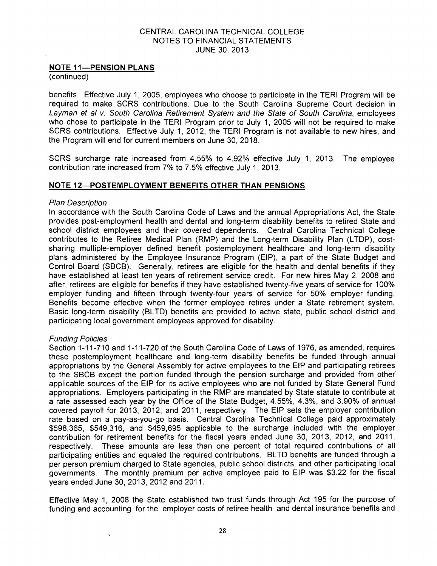## **NOTE 11-PENSION PLANS**

(continued)

benefits. Effective July 1, 2005, employees who choose to participate in the TERI Program will be required to make SCRS contributions. Due to the South Carolina Supreme Court decision in Layman et al v. South Carolina Retirement System and the State of South Carolina, employees who chose to participate in the TERI Program prior to July 1, 2005 will not be required to make SCRS contributions. Effective July 1, 2012, the TERI Program is not available to new hires, and the Program will end for current members on June 30, 2018.

SCRS surcharge rate increased from 4.55% to 4.92% effective July 1, 2013. The employee contribution rate increased from 7% to 7.5% effective July 1, 2013.

## **NOTE 12-POSTEMPLOYMENT BENEFITS OTHER THAN PENSIONS**

#### Plan Description

In accordance with the South Carolina Code of Laws and the annual Appropriations Act, the State provides post-employment health and dental and long-term disability benefits to retired State and school district employees and their covered dependents. Central Carolina Technical College contributes to the Retiree Medical Plan (RMP) and the Long-term Disability Plan (LTDP), costsharing multiple-employer defined benefit postemployment healthcare and long-term disability plans administered by the Employee Insurance Program (EIP), a part of the State Budget and Control Board (SBCB). Generally, retirees are eligible for the health and dental benefits if they have established at least ten years of retirement service credit. For new hires May 2, 2008 and after, retirees are eligible for benefits if they have established twenty-five years of service for 100% employer funding and fifteen through twenty-four years of service for 50% employer funding. Benefits become effective when the former employee retires under a State retirement system. Basic long-term disability (BL TO) benefits are provided to active state, public school district and participating local government employees approved for disability.

#### Funding Policies

 $\lambda$ 

Section 1-11-710 and 1-11-720 of the South Carolina Code of Laws of 1976, as amended, requires these postemployment healthcare and long-term disability benefits be funded through annual appropriations by the General Assembly for active employees to the EIP and participating retirees to the SBCB except the portion funded through the pension surcharge and provided from other· applicable sources of the EIP for its active employees who are not funded by State General Fund appropriations. Employers participating in the RMP are mandated by State statute to contribute at a rate assessed each year by the Office of the State Budget, 4.55%, 4.3%, and 3.90% of annual covered payroll for 2013, 2012, and 2011, respectively. The EIP sets the employer contribution rate based on a pay-as-you-go basis. Central Carolina Technical College paid approximately \$598,365, \$549,316, and \$459,695 applicable to the surcharge included with the employer contribution for retirement benefits for the fiscal years ended June 30, 2013, 2012, and 2011, respectively. These amounts are less than one percent of total required contributions of all participating entities and equaled the required contributions. BLTD benefits are funded through a per person premium charged to State agencies, public school districts, and other participating local governments. The monthly premium per active employee paid to EIP was \$3.22 for the fiscal years ended June 30, 2013, 2012 and 2011.

Effective May 1, 2008 the State established two trust funds through Act 195 for the purpose of funding and accounting for the employer costs of retiree health and dental insurance benefits and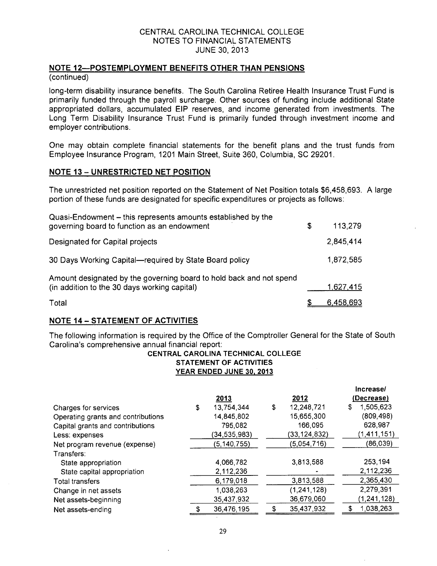#### NOTE 12-POSTEMPLOYMENT BENEFITS OTHER THAN PENSIONS (continued)

long-term disability insurance benefits. The South Carolina Retiree Health Insurance Trust Fund is primarily funded through the payroll surcharge. Other sources of funding include additional State appropriated dollars, accumulated EIP reserves, and income generated from investments. The Long Term Disability Insurance Trust Fund is primarily funded through investment income and employer contributions.

One may obtain complete financial statements for the benefit plans and the trust funds from Employee Insurance Program, 1201 Main Street, Suite 360, Columbia, SC 29201.

## NOTE 13- UNRESTRICTED NET POSITION

The unrestricted net position reported on the Statement of Net Position totals \$6,458,693. A large portion of these funds are designated for specific expenditures or projects as follows:

| Quasi-Endowment – this represents amounts established by the<br>governing board to function as an endowment         | S | 113,279          |
|---------------------------------------------------------------------------------------------------------------------|---|------------------|
| Designated for Capital projects                                                                                     |   | 2,845,414        |
| 30 Days Working Capital—required by State Board policy                                                              |   | 1,872,585        |
| Amount designated by the governing board to hold back and not spend<br>(in addition to the 30 days working capital) |   | 1,627,415        |
| Total                                                                                                               |   | <u>6.458.693</u> |

## NOTE 14 - STATEMENT OF ACTIVITIES

The following information is required by the Office of the Comptroller General for the State of South Carolina's comprehensive annual financial report:

## CENTRAL CAROLINA TECHNICAL COLLEGE STATEMENT OF ACTIVITIES YEAR ENDED JUNE 30, 2013

|                                    |                  |                  |    | Increase/     |
|------------------------------------|------------------|------------------|----|---------------|
|                                    | 2013             | 2012             |    | (Decrease)    |
| Charges for services               | \$<br>13,754,344 | \$<br>12,248,721 | S. | 1,505,623     |
| Operating grants and contributions | 14,845,802       | 15,655,300       |    | (809, 498)    |
| Capital grants and contributions   | 795,082          | 166,095          |    | 628,987       |
| Less: expenses                     | (34, 535, 983)   | (33,124,832)     |    | (1, 411, 151) |
| Net program revenue (expense)      | (5, 140, 755)    | (5,054,716)      |    | (86,039)      |
| Transfers:                         |                  |                  |    |               |
| State appropriation                | 4,066,782        | 3,813,588        |    | 253,194       |
| State capital appropriation        | 2,112,236        |                  |    | 2,112,236     |
| <b>Total transfers</b>             | 6,179,018        | 3,813,588        |    | 2,365,430     |
| Change in net assets               | 1,038,263        | (1,241,128)      |    | 2,279,391     |
| Net assets-beginning               | 35,437,932       | 36,679,060       |    | (1,241,128)   |
| Net assets-ending                  | 36,476,195       | 35,437,932       |    | 1,038,263     |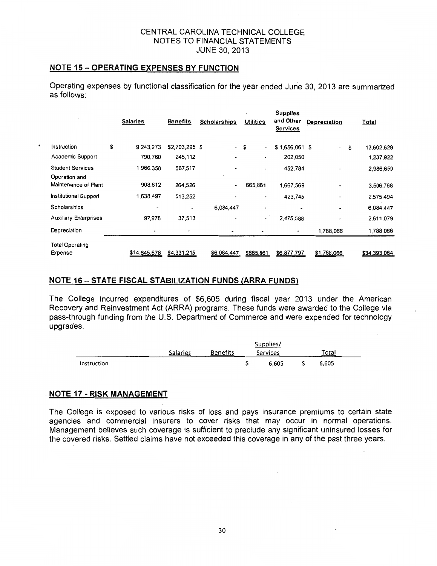## **NOTE 15- OPERATING EXPENSES BY FUNCTION**

Operating expenses by functional classification for the year ended June 30, 2013 are summarized as follows:

|                                          | <b>Salaries</b><br><b>Benefits</b> | <b>Scholarships</b>         | <b>Utilities</b>                                     | <b>Supplies</b><br>and Other<br><b>Services</b> | Depreciation   | Total            |
|------------------------------------------|------------------------------------|-----------------------------|------------------------------------------------------|-------------------------------------------------|----------------|------------------|
| \$<br><b>Instruction</b>                 | 9,243,273                          | \$2,703,295 \$              | \$<br>$\bullet$<br>$\overline{\phantom{a}}$          | $$1,656,061$ \$                                 | $\blacksquare$ | \$<br>13,602,629 |
| Academic Support                         | 790,760                            | 245,112                     | $\overline{\phantom{a}}$<br>$\overline{\phantom{0}}$ | 202,050                                         |                | 1,237,922        |
| <b>Student Services</b><br>Operation and | 1,966,358                          | 567,517                     | $\overline{\phantom{a}}$<br>-                        | 452,784                                         |                | 2,986,659        |
| Maintenance of Plant                     | 908,812                            | 264,526                     | 665,861<br>$\bullet$                                 | 1,667,569                                       |                | 3,506,768        |
| Institutional Support                    | 1,638,497                          | 513,252                     | $\blacksquare$<br>$\blacksquare$                     | 423,745                                         |                | 2,575,494        |
| Scholarships                             | $\overline{\phantom{0}}$           | 6,084,447<br>$\blacksquare$ | $\hat{\phantom{a}}$                                  |                                                 | $\blacksquare$ | 6,084,447        |
| <b>Auxiliary Enterprises</b>             | 97,978                             | 37,513                      | $\blacksquare$<br>$\blacksquare$                     | 2,475,588                                       |                | 2,611,079        |
| Depreciation                             |                                    |                             |                                                      |                                                 | 1,788,066      | 1,788,066        |
| Total Operating<br>Expense               | \$14,645,678                       | \$4,331,215<br>\$6,084,447  | \$665,861                                            | \$6,877,797                                     | \$1,788,066    | \$34,393,064     |

#### **NOTE 16- STATE FISCAL STABILIZATION FUNDS (ARRA FUNDS)**

The College incurred expenditures of \$6,605 during fiscal year 2013 under the American Recovery and Reinvestment Act (ARRA) programs. These funds were awarded to the College via pass-through funding from the U.S. Department of Commerce and were expended for technology upgrades.

|             | Supplies/       |                 |          |       |  |       |  |
|-------------|-----------------|-----------------|----------|-------|--|-------|--|
|             | <b>Salaries</b> | <b>Benefits</b> | Services |       |  | Total |  |
| Instruction |                 |                 |          | 6,605 |  | 6,605 |  |

#### **NOTE 17 - RISK MANAGEMENT**

The College is exposed to various risks of loss and pays insurance premiums to certain state agencies and commercial insurers to cover risks that may occur in normal operations. Management believes such coverage is sufficient to preclude any significant uninsured losses for the covered risks. Settled claims have not exceeded this coverage in any of the past three years.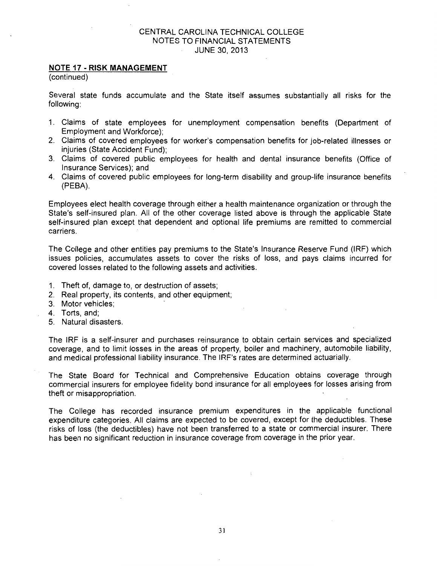#### **NOTE 17- RISK MANAGEMENT**

(continued)

Several state funds accumulate and the State itself assumes substantially all risks for the following:

- 1. Claims of state employees for unemployment compensation benefits (Department of Employment and Workforce);
- 2. Claims of covered employees for worker's compensation benefits for job-related illnesses or injuries (State Accident Fund);
- 3. Claims of covered public employees for health and dental insurance benefits (Office of Insurance Services); and
- 4. Claims of covered public employees for long-term disability and group-life insurance benefits (PEBA).

Employees elect health coverage through either a health maintenance organization or through the State's self-insured plan. All of the other coverage listed above is through the applicable State self-insured plan except that dependent and optional life premiums are remitted to commercial carriers.

The College and other entities pay premiums to the State's Insurance Reserve Fund (IRF) which issues policies, accumulates assets to cover the risks of loss, and pays claims incurred for covered losses related to the following assets and activities.

- 1. Theft of, damage to, or destruction of assets;
- 2. Real property, its contents, and other equipment;
- 3. Motor vehicles;
- 4. Torts, and;
- 5. Natural disasters.

The IRF is a self-insurer and purchases reinsurance to obtain certain services and specialized coverage, and to limit losses in the areas of property, boiler and machinery, automobile liability, and medical professional liability insurance. The IRF's rates are determined actuarially.

The State Board for Technical and Comprehensive Education obtains coverage through commercial insurers for employee fidelity bond insurance for all employees for losses arising from theft or misappropriation.

The College has recorded insurance premium expenditures in the applicable functional expenditure categories. All claims are expected to be covered, except for the deductibles. These risks of loss (the deductibles) have not been transferred to a state or commercial insurer. There has been no significant reduction in insurance coverage from coverage in the prior year.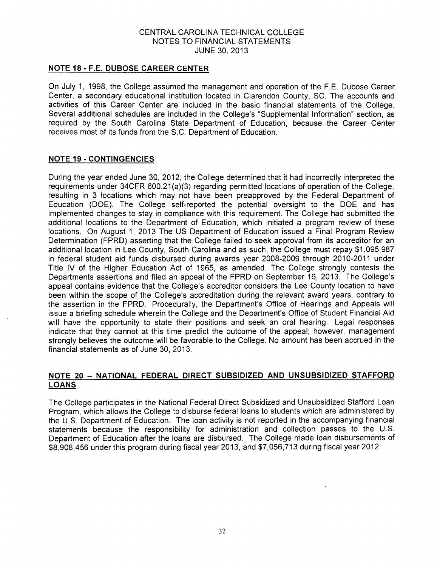#### **NOTE 18- F.E. DUBOSE CAREER CENTER**

On July 1, 1998, the College assumed the management and operation of the F. E. Dubose Career Center, a secondary educational institution located in Clarendon County, SC. The accounts and activities of this Career Center are included in the basic financial statements of the College. Several additional schedules are included in the College's "Supplemental Information" section, as required by the South Carolina State Department of Education, because the Career Center receives most of its funds from the S.C. Department of Education.

#### **NOTE 19- CONTINGENCIES**

During the year ended June 30, 2012, the College determined that it had incorrectly interpreted the requirements under 34CFR 600.21 (a)(3) regarding permitted locations of operation of the College, resulting in 3 locations which may not have been preapproved by the Federal Department of Education (DOE). The College self-reported the potential oversight to the DOE and has implemented changes to stay in compliance with this requirement. The College had submitted the additional locations to the Department of Education, which initiated a program review of these locations. On August 1, 2013 The US Department of Education issued a Final Program Review Determination (FPRD) asserting that the College failed to seek approval from its accreditor for an additional location in Lee County, South Carolina and as such, the College must repay \$1,095,987 in federal student aid funds disbursed during awards year 2008-2009 through 2010-2011 under Title IV of the Higher Education Act of 1965, as amended. The College strongly contests the Departments assertions and filed an appeal of the FPRD on September 16, 2013. The College's appeal contains evidence that the College's accreditor considers the Lee County location to have been within the scope of the College's accreditation during the relevant award years, contrary to the assertion in the FPRD. Procedurally, the Department's Office of Hearings and Appeals will issue a briefing schedule wherein the College and the Department's Office of Student Financial Aid will have the opportunity to state their positions and seek an oral hearing. Legal responses indicate that they cannot at this time predict the outcome of the appeal; however, management strongly believes the outcome will be favorable to the College. No amount has been accrued in the financial statements as of June 30, 2013.

## **NOTE 20 - NATIONAL FEDERAL DIRECT SUBSIDIZED AND UNSUBSIDIZED STAFFORD LOANS**

The College participates in the National Federal Direct Subsidized and Unsubsidized Stafford Loan Program, which allows the College to disburse federal loans to students which are'administered by the U.S. Department of Education. The loan activity is not reported in the accompanying financial statements because the responsibility for administration and collection passes to the U.S. Department of Education after the loans are disbursed. The College made loan disbursements of \$8,908,456 under this program during fiscal year 2013, and \$7,056,713 during fiscal year 2012.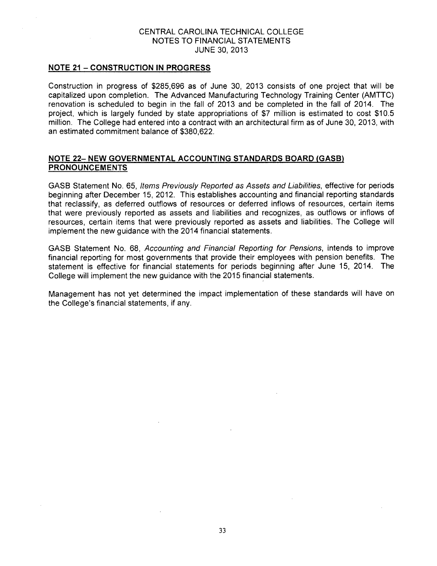#### **NOTE 21 -CONSTRUCTION IN PROGRESS**

Construction in progress of \$285,696 as of June 30, 2013 consists of one project that will be capitalized upon completion. The Advanced Manufacturing Technology Training Center (AMTTC) renovation is scheduled to begin in the fall of 2013 and be completed in the fall of 2014. The project, which is largely funded by state appropriations of \$7 million is estimated to cost \$10.5 million. The College had entered into a contract with an architectural firm as of June 30, 2013, with an estimated commitment balance of \$380,622.

## **NOTE** 22- **NEW GOVERNMENTAL ACCOUNTING STANDARDS BOARD (GASB) PRONOUNCEMENTS**

GASB Statement No. 65, Items Previously Reported as Assets and Liabilities, effective for periods beginning after December 15, 2012. This establishes accounting and financial reporting standards that reclassify, as deferred outflows of resources or deferred inflows of resources, certain items that were previously reported as assets and liabilities and recognizes, as outflows or inflows of resources, certain items that were previously reported as assets and liabilities. The College will implement the new guidance with the 2014 financial statements.

GASB Statement No. 68, Accounting and Financial Reporting for Pensions, intends to improve financial reporting for most governments that provide their employees with pension benefits. The statement is effective for financial statements for periods beginning after June 15, 2014. The College will implement the new guidance with the 2015 financial statements.

Management has not yet determined the impact implementation of these standards will have on the College's financial statements, if any.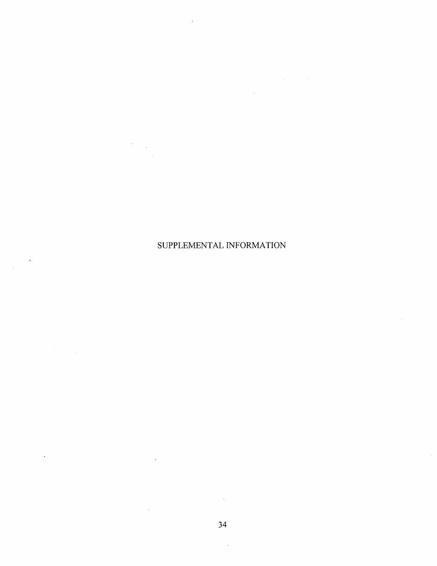$\hat{\boldsymbol{\gamma}}$ in L

# SUPPLEMENTAL INFORMATION

 $\ddot{\phantom{0}}$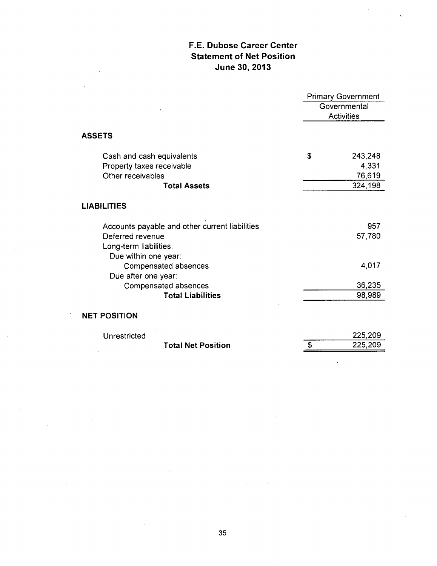# **F.E. Dubose Career Center Statement of Net Position June 30, 2013**

 $\bar{z}$ 

 $\sim$ 

 $\sim 10$ 

 $\frac{1}{2}$ 

 $\overline{a}$ 

|                                                | <b>Primary Government</b> |                   |  |
|------------------------------------------------|---------------------------|-------------------|--|
|                                                |                           | Governmental      |  |
|                                                |                           | <b>Activities</b> |  |
|                                                |                           |                   |  |
| <b>ASSETS</b>                                  |                           |                   |  |
| Cash and cash equivalents                      | S                         | 243,248           |  |
| Property taxes receivable                      |                           | 4,331             |  |
| Other receivables                              |                           | 76,619            |  |
| <b>Total Assets</b>                            |                           | 324,198           |  |
| <b>LIABILITIES</b>                             |                           |                   |  |
| Accounts payable and other current liabilities |                           | 957               |  |
| Deferred revenue                               |                           | 57,780            |  |
| Long-term liabilities:                         |                           |                   |  |
| Due within one year:                           |                           |                   |  |
| <b>Compensated absences</b>                    |                           | 4,017             |  |
| Due after one year:                            |                           |                   |  |
| Compensated absences                           |                           | 36,235            |  |
| <b>Total Liabilities</b>                       |                           | 98,989            |  |
| <b>NET POSITION</b>                            |                           |                   |  |
| Unrestricted                                   |                           | 225,209           |  |
| <b>Total Net Position</b>                      | \$                        | 225,209           |  |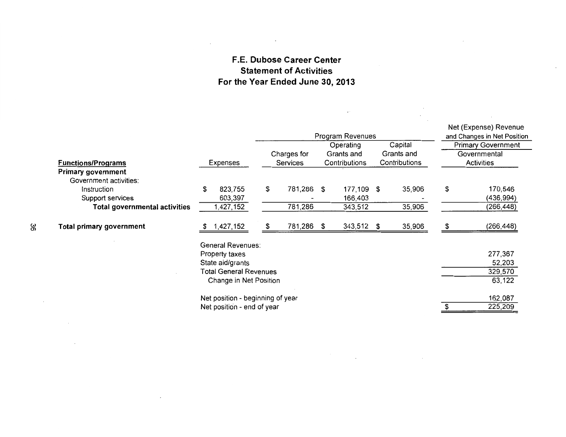# **F .E. Dubose Career Center Statement of Activities For the Year Ended June 30, 2013**

 $\epsilon$ 

 $\mathcal{O}(\mathcal{O}_\mathcal{O})$  . The set of the set of the set of the set of the set of the set of the set of the set of the set of the set of the set of the set of the set of the set of the set of the set of the set of the set of

and the contract

 $\Delta \sim 10^{-11}$ 

|     |                                                     |                                  |                  | Program Revenues |               |    | Net (Expense) Revenue<br>and Changes in Net Position |
|-----|-----------------------------------------------------|----------------------------------|------------------|------------------|---------------|----|------------------------------------------------------|
|     |                                                     |                                  |                  | Operating        | Capital       |    | <b>Primary Government</b>                            |
|     |                                                     |                                  | Charges for      | Grants and       | Grants and    |    | Governmental                                         |
|     | <b>Functions/Programs</b>                           | Expenses                         | Services         | Contributions    | Contributions |    | <b>Activities</b>                                    |
|     | <b>Primary government</b><br>Government activities: |                                  |                  |                  |               |    |                                                      |
|     | Instruction                                         | \$<br>823,755                    | \$<br>781,286 \$ | 177,109 \$       | 35,906        | \$ | 170,546                                              |
|     | Support services                                    | 603,397                          |                  | 166,403          |               |    | (436, 994)                                           |
|     | <b>Total governmental activities</b>                | ,427,152                         | 781,286          | 343,512          | 35,906        |    | (266, 448)                                           |
| မ္တ | Total primary government                            | 1,427,152                        | 781,286 \$       | 343,512 \$       | 35,906        | S  | (266, 448)                                           |
|     |                                                     | <b>General Revenues:</b>         |                  |                  |               |    |                                                      |
|     |                                                     | Property taxes                   |                  |                  |               |    | 277,367                                              |
|     |                                                     | State aid/grants                 |                  |                  |               |    | 52,203                                               |
|     |                                                     | <b>Total General Revenues</b>    |                  |                  |               |    | 329,570                                              |
|     |                                                     | Change in Net Position           |                  |                  |               |    | 63,122                                               |
|     |                                                     | Net position - beginning of year |                  |                  |               |    | 162,087                                              |
|     |                                                     | Net position - end of year       |                  |                  |               |    | 225,209                                              |
|     |                                                     |                                  |                  |                  |               |    |                                                      |

 $\sim$ 

 $\sim$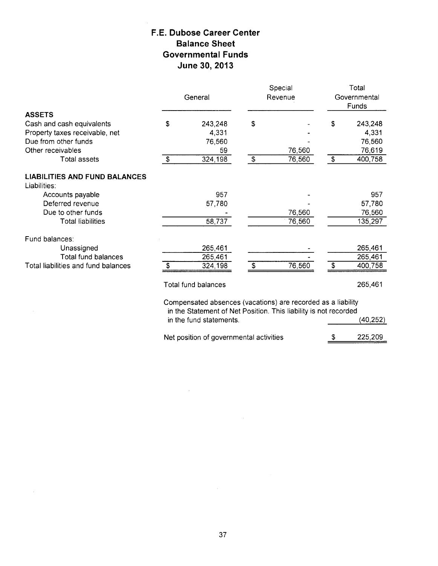# **F.E. Dubose Career Center Balance Sheet Governmental Funds June 30, 2013**

|                                                      |      |                                                                                                                                  |                    | Special |               | Total                 |
|------------------------------------------------------|------|----------------------------------------------------------------------------------------------------------------------------------|--------------------|---------|---------------|-----------------------|
|                                                      |      | General                                                                                                                          |                    | Revenue |               | Governmental<br>Funds |
| <b>ASSETS</b>                                        |      |                                                                                                                                  |                    |         |               |                       |
| Cash and cash equivalents                            | \$   | 243,248                                                                                                                          | \$                 |         | \$            | 243,248               |
| Property taxes receivable, net                       |      | 4,331                                                                                                                            |                    |         |               | 4,331                 |
| Due from other funds                                 |      | 76,560                                                                                                                           |                    |         |               | 76,560                |
| Other receivables                                    |      | 59                                                                                                                               |                    | 76,560  |               | 76,619                |
| Total assets                                         | $\$$ | 324,198                                                                                                                          | $\mathbf{\hat{S}}$ | 76,560  | $\mathfrak s$ | 400,758               |
| <b>LIABILITIES AND FUND BALANCES</b><br>Liabilities: |      |                                                                                                                                  |                    |         |               |                       |
| Accounts payable                                     |      | 957                                                                                                                              |                    |         |               | 957                   |
| Deferred revenue                                     |      | 57,780                                                                                                                           |                    |         |               | 57,780                |
| Due to other funds                                   |      |                                                                                                                                  |                    | 76,560  |               | 76,560                |
| <b>Total liabilities</b>                             |      | 58,737                                                                                                                           |                    | 76,560  |               | 135,297               |
| Fund balances:                                       |      |                                                                                                                                  |                    |         |               |                       |
| Unassigned                                           |      | 265,461                                                                                                                          |                    |         |               | 265,461               |
| <b>Total fund balances</b>                           |      | 265,461                                                                                                                          |                    |         |               | 265,461               |
| Total liabilities and fund balances                  | £.   | 324,198                                                                                                                          | £.                 | 76,560  | £.            | 400,758               |
|                                                      |      | Total fund balances                                                                                                              |                    |         |               | 265,461               |
|                                                      |      | Compensated absences (vacations) are recorded as a liability<br>in the Statement of Net Position. This liability is not recorded |                    |         |               |                       |
|                                                      |      | in the fund statements.                                                                                                          |                    |         |               | (40, 252)             |
|                                                      |      |                                                                                                                                  |                    |         |               |                       |

 $\mathcal{L}_{\mathcal{A}}$ 

 $\sim$ 

Net position of governmental activities  $\frac{\$}{225,209}$ 

 $\mathcal{A}^{\mathcal{A}}$ 

 $\mathcal{A}^{\mathcal{A}}$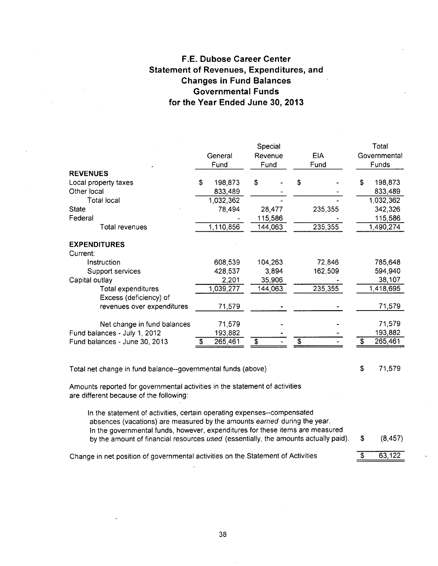## **F.E. Dubose Career Center Statement of Revenues, Expenditures, and Changes in Fund Balances Governmental Funds for the Year Ended June 30, 2013**

|                                                                            |               | Special |         | Total        |
|----------------------------------------------------------------------------|---------------|---------|---------|--------------|
|                                                                            | General       | Revenue | EIA     | Governmental |
|                                                                            | Fund          | Fund    | Fund    | Funds        |
| <b>REVENUES</b>                                                            |               |         |         |              |
| Local property taxes                                                       | \$<br>198,873 | \$      | S       | 198,873<br>S |
| Other local                                                                | 833,489       |         |         | 833,489      |
| Total local                                                                | 1,032,362     |         |         | 1,032,362    |
| <b>State</b>                                                               | 78,494        | 28,477  | 235,355 | 342,326      |
| Federal                                                                    |               | 115,586 |         | 115,586      |
| Total revenues                                                             | 1,110,856     | 144,063 | 235,355 | 1,490,274    |
| <b>EXPENDITURES</b>                                                        |               |         |         |              |
| Current:                                                                   |               |         |         |              |
| Instruction                                                                | 608,539       | 104,263 | 72,846  | 785,648      |
| Support services                                                           | 428,537       | 3,894   | 162,509 | 594,940      |
| Capital outlay                                                             | 2,201         | 35,906  |         | 38,107       |
| Total expenditures                                                         | 1,039,277     | 144,063 | 235,355 | 1,418,695    |
| Excess (deficiency) of                                                     |               |         |         |              |
| revenues over expenditures                                                 | 71,579        |         |         | 71,579       |
| Net change in fund balances                                                | 71,579        |         |         | 71,579       |
| Fund balances - July 1, 2012                                               | 193,882       |         |         | 193,882      |
| Fund balances - June 30, 2013                                              | 265,461       | \$      |         | 265,461      |
|                                                                            |               |         |         |              |
| Total net change in fund balance--governmental funds (above)               |               |         |         | \$<br>71,579 |
| eusta senarted for coupromontal optivities in the statement of potivities. |               |         |         |              |

Amounts reported for governmental activities in the statement of activities are different because of the following:

In the statement of activities, certain operating expenses--compensated absences (vacations) are measured by the amounts earned during the year. In the governmental funds, however, expenditures for these items are measured by the amount of financial resources used (essentially, the amounts actually paid). \$ (8,457)

Change in net position of governmental activities on the Statement of Activities  $\frac{\$}{\$}$  63,122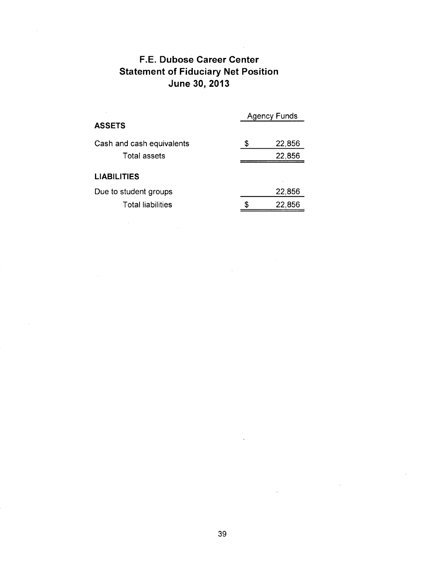# **F.E. Dubose Career Center Statement of Fiduciary Net Position June 30, 2013**

|                           |   | <b>Agency Funds</b> |
|---------------------------|---|---------------------|
| <b>ASSETS</b>             |   |                     |
| Cash and cash equivalents | S | 22,856              |
| Total assets              |   | 22,856              |
| <b>LIABILITIES</b>        |   |                     |
| Due to student groups     |   | 22,856              |
| <b>Total liabilities</b>  |   | 22,856              |

 $\mathbb{Z}$ 

 $\hat{L}$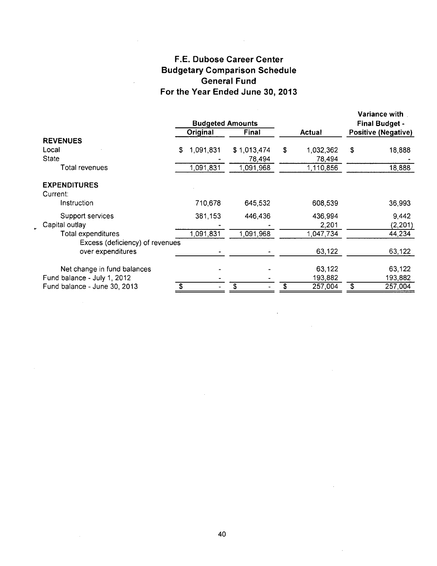# **F.E. Dubose Career Center Budgetary Comparison Schedule General Fund For the Year Ended June 30, 2013**

 $\mathcal{L}$ 

|                                 | <b>Budgeted Amounts</b> |             |                 | Variance with<br><b>Final Budget -</b> |
|---------------------------------|-------------------------|-------------|-----------------|----------------------------------------|
|                                 | Original                | Final       | Actual          | <b>Positive (Negative)</b>             |
| <b>REVENUES</b>                 |                         |             |                 |                                        |
| Local                           | 1,091,831<br>\$         | \$1,013,474 | \$<br>1,032,362 | \$<br>18,888                           |
| <b>State</b>                    |                         | 78,494      | 78,494          |                                        |
| Total revenues                  | 1,091,831               | 1,091,968   | 1,110,856       | 18,888                                 |
| <b>EXPENDITURES</b><br>Current: |                         |             |                 |                                        |
| Instruction                     | 710,678                 | 645,532     | 608,539         | 36,993                                 |
| Support services                | 381,153                 | 446,436     | 436,994         | 9,442                                  |
| Capital outlay                  |                         |             | 2,201           | (2, 201)                               |
| Total expenditures              | 1,091,831               | 1,091,968   | 1,047,734       | 44,234                                 |
| Excess (deficiency) of revenues |                         |             |                 |                                        |
| over expenditures               |                         |             | 63,122          | 63,122                                 |
| Net change in fund balances     |                         |             | 63.122          | 63,122                                 |
| Fund balance - July 1, 2012     |                         |             | 193,882         | 193,882                                |
| Fund balance - June 30, 2013    | \$                      | S           | 257,004<br>\$   | \$<br>257,004                          |

 $\ddot{\phantom{a}}$ 

 $\bar{z}$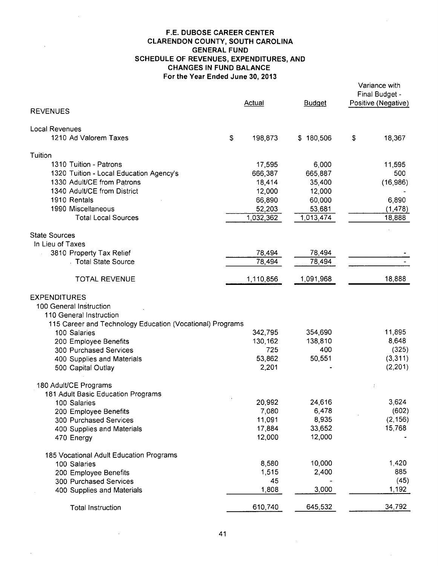#### **F.E. DUBOSE CAREER CENTER CLARENDON COUNTY, SOUTH CAROLINA GENERAL FUND SCHEDULE OF REVENUES, EXPENDITURES, AND CHANGES IN FUND BALANCE For the Year Ended June 30, 2013**

|                                                           |        |           | <b>Budget</b> | Variance with<br>Final Budget -<br>Positive (Negative) |
|-----------------------------------------------------------|--------|-----------|---------------|--------------------------------------------------------|
| <b>REVENUES</b>                                           | Actual |           |               |                                                        |
| Local Revenues                                            |        |           |               |                                                        |
| 1210 Ad Valorem Taxes                                     | \$     | 198,873   | \$180,506     | \$<br>18,367                                           |
| Tuition                                                   |        |           |               |                                                        |
| 1310 Tuition - Patrons                                    |        | 17,595    | 6,000         | 11,595                                                 |
| 1320 Tuition - Local Education Agency's                   |        | 666,387   | 665,887       | 500                                                    |
| 1330 Adult/CE from Patrons                                |        | 18,414    | 35,400        | (16,986)                                               |
| 1340 Adult/CE from District                               |        | 12,000    | 12,000        |                                                        |
| 1910 Rentals                                              |        | 66,890    | 60,000        | 6,890                                                  |
| 1990 Miscellaneous                                        |        | 52,203    | 53,681        | (1, 478)                                               |
| <b>Total Local Sources</b>                                |        | 1,032,362 | 1,013,474     | 18,888                                                 |
| <b>State Sources</b>                                      |        |           |               |                                                        |
| In Lieu of Taxes                                          |        |           |               |                                                        |
| 3810 Property Tax Relief                                  |        | 78,494    | 78,494        |                                                        |
| Total State Source                                        |        | 78,494    | 78,494        |                                                        |
| <b>TOTAL REVENUE</b>                                      |        | 1,110,856 | 1,091,968     | 18,888                                                 |
| <b>EXPENDITURES</b>                                       |        |           |               |                                                        |
| 100 General Instruction                                   |        |           |               |                                                        |
| 110 General Instruction                                   |        |           |               |                                                        |
| 115 Career and Technology Education (Vocational) Programs |        |           |               |                                                        |
| 100 Salaries                                              |        | 342,795   | 354,690       | 11,895                                                 |
| 200 Employee Benefits                                     |        | 130,162   | 138,810       | 8,648                                                  |
| 300 Purchased Services                                    |        | 725       | 400           | (325)                                                  |
| 400 Supplies and Materials                                |        | 53,862    | 50,551        | (3, 311)                                               |
| 500 Capital Outlay                                        |        | 2,201     |               | (2, 201)                                               |
| 180 Adult/CE Programs                                     |        |           |               |                                                        |
| 181 Adult Basic Education Programs                        |        |           |               |                                                        |
| 100 Salaries                                              |        | 20,992    | 24,616        | 3,624                                                  |
| 200 Employee Benefits                                     |        | 7,080     | 6,478         | (602)                                                  |
| 300 Purchased Services                                    |        | 11,091    | 8,935         | (2, 156)                                               |
| 400 Supplies and Materials                                |        | 17,884    | 33,652        | 15,768                                                 |
| 470 Energy                                                |        | 12,000    | 12,000        |                                                        |
| 185 Vocational Adult Education Programs                   |        |           |               |                                                        |
| 100 Salaries                                              |        | 8,580     | 10,000        | 1,420                                                  |
| 200 Employee Benefits                                     |        | 1,515     | 2,400         | 885                                                    |
| 300 Purchased Services                                    |        | 45        |               | (45)                                                   |
| 400 Supplies and Materials                                |        | 1,808     | 3,000         | 1,192                                                  |
| <b>Total Instruction</b>                                  |        | 610,740   | 645,532       | 34,792                                                 |

÷.

 $\ddot{\phantom{a}}$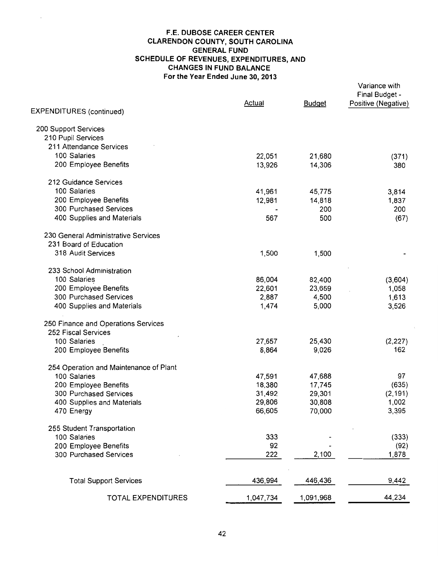#### **F.E. DUBOSE CAREER CENTER CLARENDON COUNTY, SOUTH CAROLINA GENERAL FUND SCHEDULE OF REVENUES, EXPENDITURES, AND CHANGES IN FUND BALANCE For the Year Ended June 30, 2013**

Variance with

|                                        | <b>Actual</b> | <b>Budget</b> | Final Budget -<br>Positive (Negative) |
|----------------------------------------|---------------|---------------|---------------------------------------|
| EXPENDITURES (continued)               |               |               |                                       |
| 200 Support Services                   |               |               |                                       |
| 210 Pupil Services                     |               |               |                                       |
| 211 Attendance Services                |               |               |                                       |
| 100 Salaries                           | 22,051        | 21,680        | (371)                                 |
| 200 Employee Benefits                  | 13,926        | 14,306        | 380                                   |
| 212 Guidance Services                  |               |               |                                       |
| 100 Salaries                           | 41,961        | 45,775        | 3,814                                 |
| 200 Employee Benefits                  | 12,981        | 14,818        | 1,837                                 |
| 300 Purchased Services                 |               | 200           | 200                                   |
| 400 Supplies and Materials             | 567           | 500           | (67)                                  |
| 230 General Administrative Services    |               |               |                                       |
| 231 Board of Education                 |               |               |                                       |
| 318 Audit Services                     | 1,500         | 1,500         |                                       |
| 233 School Administration              |               |               |                                       |
| 100 Salaries                           | 86,004        | 82,400        | (3,604)                               |
| 200 Employee Benefits                  | 22,601        | 23,659        | 1,058<br>$\mathbf{r}$                 |
| 300 Purchased Services                 | 2,887         | 4,500         | 1,613                                 |
| 400 Supplies and Materials             | 1,474         | 5,000         | 3,526                                 |
| 250 Finance and Operations Services    |               |               |                                       |
| 252 Fiscal Services                    |               |               |                                       |
| 100 Salaries                           | 27,657        | 25,430        | (2, 227)                              |
| 200 Employee Benefits                  | 8,864         | 9,026         | 162                                   |
| 254 Operation and Maintenance of Plant |               |               |                                       |
| 100 Salaries                           | 47,591        | 47,688        | 97                                    |
| 200 Employee Benefits                  | 18,380        | 17,745        | (635)                                 |
| 300 Purchased Services                 | 31,492        | 29,301        | (2, 191)                              |
| 400 Supplies and Materials             | 29,806        | 30,808        | 1,002                                 |
| 470 Energy                             | 66,605        | 70,000        | 3,395                                 |
| 255 Student Transportation             |               |               |                                       |
| 100 Salaries                           | 333           |               | (333)                                 |
| 200 Employee Benefits                  | 92            |               | (92)                                  |
| 300 Purchased Services                 | 222           | 2,100         | 1,878                                 |
| <b>Total Support Services</b>          | 436,994       | 446,436       | 9,442                                 |
| <b>TOTAL EXPENDITURES</b>              | 1,047,734     | 1,091,968     | 44,234                                |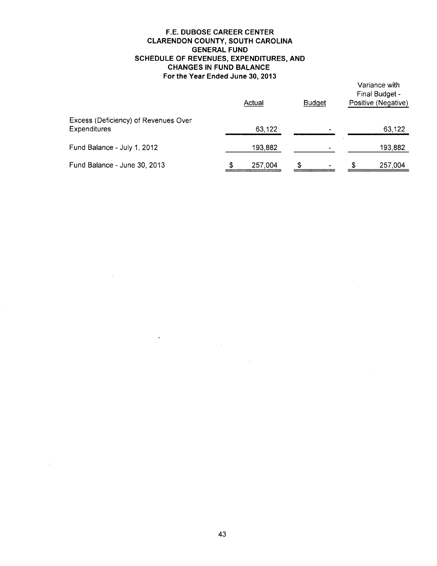#### **F.E. DUBOSE CAREER CENTER CLARENDON COUNTY, SOUTH CAROLINA GENERAL FUND SCHEDULE OF REVENUES, EXPENDITURES, AND CHANGES IN FUND BALANCE For the Year Ended June 30, 2013**

|                                                      | Actual       | <b>Budget</b>            | Variance with<br>Final Budget -<br>Positive (Negative) |
|------------------------------------------------------|--------------|--------------------------|--------------------------------------------------------|
| Excess (Deficiency) of Revenues Over<br>Expenditures | 63,122       |                          | 63,122                                                 |
| Fund Balance - July 1, 2012                          | 193,882      | $\overline{\phantom{a}}$ | 193,882                                                |
| Fund Balance - June 30, 2013                         | 257,004<br>S | S                        | 257,004                                                |

 $\mathcal{A}^{\mathcal{A}}$ 

 $\sim 10$ 

 $\ddot{\phantom{1}}$ 

 $\bar{A}$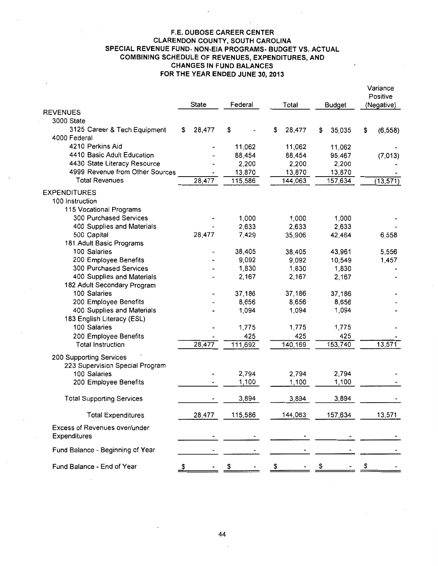#### **F.E. DUBOSE CAREER CENTER CLARENDON COUNTY, SOUTH CAROLINA SPECIAL REVENUE FUND- NON-EIA PROGRAMS- BUDGET VS. ACTUAL COMBINING SCHEDULE OF REVENUES, EXPENDITURES, AND CHANGES IN FUND BALANCES FOR THE YEAR ENDED JUNE 30, 2013**

|                                              |              |         |              |               | Variance<br>Positive |
|----------------------------------------------|--------------|---------|--------------|---------------|----------------------|
|                                              | <b>State</b> | Federal | Total        | <b>Budget</b> | (Negative)           |
| <b>REVENUES</b>                              |              |         |              |               |                      |
| 3000 State                                   |              |         |              |               |                      |
| 3125 Career & Tech Equipment<br>4000 Federal | 28,477<br>\$ | \$      | \$<br>28,477 | 35,035<br>\$  | \$<br>(6, 558)       |
| 4210 Perkins Aid                             |              | 11,062  | 11,062       | 11,062        |                      |
| 4410 Basic Adult Education                   |              | 88,454  | 88,454       | 95,467        | (7,013)              |
| 4430 State Literacy Resource                 |              | 2,200   | 2,200        | 2,200         |                      |
| 4999 Revenue from Other Sources              |              | 13,870  | 13,870       | 13,870        |                      |
| <b>Total Revenues</b>                        | 28,477       | 115,586 | 144,063      | 157,634       | (13, 571)            |
| <b>EXPENDITURES</b>                          |              |         |              |               |                      |
| 100 Instruction                              |              |         |              |               |                      |
| 115 Vocational Programs                      |              |         |              |               |                      |
| 300 Purchased Services                       |              | 1,000   | 1,000        | 1,000         |                      |
| 400 Supplies and Materials                   |              | 2,633   | 2,633        | 2,633         |                      |
| 500 Capital                                  | 28,477       | 7,429   | 35,906       | 42,464        | 6,558                |
| 181 Adult Basic Programs                     |              |         |              |               |                      |
| 100 Salaries                                 |              | 38,405  | 38,405       | 43,961        | 5,556                |
| 200 Employee Benefits                        |              | 9,092   | 9,092        | 10,549        | 1,457                |
| 300 Purchased Services                       |              | 1,830   | 1,830        | 1,830         |                      |
| 400 Supplies and Materials                   |              | 2,167   | 2,167        | 2,167         |                      |
| 182 Adult Secondary Program                  |              |         |              |               |                      |
| 100 Salaries                                 |              | 37,186  | 37,186       | 37,186        |                      |
| 200 Employee Benefits                        |              | 8,656   | 8,656        | 8,656         |                      |
| 400 Supplies and Materials                   |              | 1,094   | 1,094        | 1,094         |                      |
| 183 English Literacy (ESL)                   |              |         |              |               |                      |
| 100 Salaries                                 |              | 1,775   | 1,775        | 1,775         |                      |
| 200 Employee Benefits                        |              | 425     | 425          | 425           |                      |
| <b>Total Instruction</b>                     | 28,477       | 111,692 | 140,169      | 153,740       | 13,571               |
| 200 Supporting Services                      |              |         |              |               |                      |
| 223 Supervision Special Program              |              |         |              |               |                      |
| 100 Salaries                                 |              | 2,794   | 2,794        | 2,794         |                      |
| 200 Employee Benefits                        |              | 1,100   | 1,100        | 1,100         |                      |
| <b>Total Supporting Services</b>             |              | 3,894   | 3,894        | 3,894         |                      |
| <b>Total Expenditures</b>                    | 28,477       | 115,586 | 144,063      | 157,634       | 13,571               |
| Excess of Revenues over/under                |              |         |              |               |                      |
| Expenditures                                 |              |         |              |               |                      |
| Fund Balance - Beginning of Year             |              |         |              |               |                      |
| Fund Balance - End of Year                   | \$           | \$      | \$           | \$            | \$                   |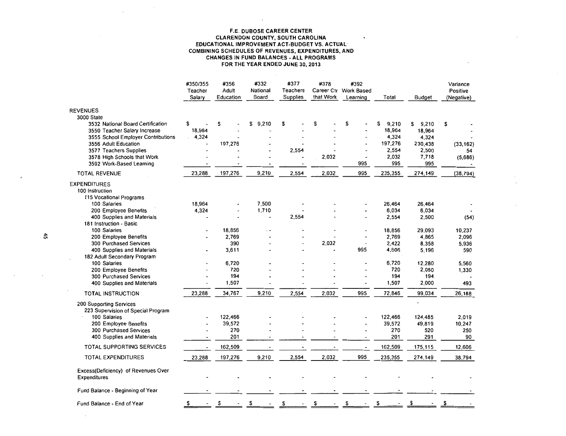#### **F.E. DUBOSE CAREER CENTER CLARENDON COUNTY, SOUTH CAROLINA EDUCATIONAL IMPROVEMENT ACT-BUDGET VS. ACTUAL COMBINING SCHEDULES OF REVENUES, EXPENDITURES, AND CHANGES IN FUND BALANCES -ALL PROGRAMS FOR THE YEAR ENDED JUNE 30, 2013**

 $\ddot{\phantom{a}}$ 

|    |                                                        | #350/355<br>Teacher<br>Salary | #356<br>Adult<br>Education | #332<br>National<br>Board | #377<br>Teachers<br>Supplies | #378<br>that Work | #392<br>Career Ctr Work Based<br>Learning | Total           | Budget          | Variance<br>Positive<br>(Negative) |
|----|--------------------------------------------------------|-------------------------------|----------------------------|---------------------------|------------------------------|-------------------|-------------------------------------------|-----------------|-----------------|------------------------------------|
|    | <b>REVENUES</b>                                        |                               |                            |                           |                              |                   |                                           |                 |                 |                                    |
|    | <b>3000 State</b><br>3532 National Board Certification | \$                            | S                          | 9,210<br>\$               | \$                           |                   | S                                         | S<br>9,210      | 9,210<br>\$     | \$                                 |
|    | 3550 Teacher Salary Increase                           | 18,964                        |                            |                           |                              |                   |                                           | 18,964          | 18,964          |                                    |
|    | 3555 School Employer Contributions                     | 4,324                         |                            |                           |                              |                   |                                           | 4,324           | 4,324           |                                    |
|    | 3556 Adult Education                                   |                               | 197,276                    |                           |                              |                   |                                           | 197,276         | 230,438         | (33, 162)                          |
|    | 3577 Teachers Supplies                                 |                               |                            |                           | 2,554                        |                   |                                           | 2,554           | 2,500           | 54                                 |
|    | 3578 High Schools that Work                            |                               |                            |                           |                              | 2.032             | $\overline{a}$                            | 2,032           | 7,718           | (5,686)                            |
|    | 3592 Work-Based Learning                               |                               |                            |                           |                              |                   | 995                                       | 995             | 995             |                                    |
|    | <b>TOTAL REVENUE</b>                                   | 23,288                        | 197,276                    | 9,210                     | 2,554                        | 2,032             | 995                                       | 235,355         | 274,149         | (38, 794)                          |
|    | <b>EXPENDITURES</b>                                    |                               |                            |                           |                              |                   |                                           |                 |                 |                                    |
|    | 100 Instruction                                        |                               |                            |                           |                              |                   |                                           |                 |                 |                                    |
|    | 115 Vocational Programs                                |                               |                            |                           |                              |                   |                                           |                 |                 |                                    |
|    | 100 Salaries                                           | 18,964                        |                            | 7,500                     |                              |                   |                                           | 26,464<br>6,034 | 26.464<br>6,034 |                                    |
|    | 200 Employee Benefits<br>400 Supplies and Materials    | 4,324                         |                            | 1,710                     | 2,554                        |                   |                                           | 2,554           | 2,500           | (54)                               |
|    | 181 Instruction - Basic                                |                               |                            |                           |                              |                   |                                           |                 |                 |                                    |
|    | 100 Salaries                                           |                               | 18,856                     |                           |                              |                   |                                           | 18,856          | 29,093          | 10,237                             |
| 45 | 200 Employee Benefits                                  |                               | 2.769                      |                           |                              |                   |                                           | 2,769           | 4,865           | 2,096                              |
|    | 300 Purchased Services                                 |                               | 390                        |                           |                              | 2,032             |                                           | 2,422           | 8,358           | 5,936                              |
|    | 400 Supplies and Materials                             |                               | 3,611                      |                           |                              |                   | 995                                       | 4.606           | 5.196           | 590                                |
|    | 182 Adult Secondary Program                            |                               |                            |                           |                              |                   |                                           |                 |                 |                                    |
|    | 100 Salaries                                           |                               | 6.720                      |                           |                              |                   |                                           | 6,720           | 12.280          | 5,560                              |
|    | 200 Employee Benefits                                  |                               | 720                        |                           |                              |                   |                                           | 720             | 2,050           | 1,330                              |
|    | 300 Purchased Services                                 |                               | 194                        |                           |                              |                   |                                           | 194<br>1,507    | 194<br>2,000    | 493                                |
|    | 400 Supplies and Materials                             |                               | 1,507                      |                           |                              |                   |                                           |                 |                 |                                    |
|    | <b>TOTAL INSTRUCTION</b>                               | 23,288                        | 34,767                     | 9,210                     | 2,554                        | 2,032             | 995                                       | 72,846          | 99,034          | 26,188                             |
|    | 200 Supporting Services                                |                               |                            |                           |                              |                   |                                           |                 |                 |                                    |
|    | 223 Supervision of Special Program                     |                               |                            |                           |                              |                   |                                           |                 |                 |                                    |
|    | 100 Salaries                                           |                               | 122,466                    |                           |                              |                   |                                           | 122,466         | 124,485         | 2.019                              |
|    | 200 Employee Benefits                                  |                               | 39,572                     |                           |                              |                   |                                           | 39,572          | 49,819          | 10,247                             |
|    | 300 Purchased Services<br>400 Supplies and Materials   |                               | 270<br>201                 |                           |                              |                   |                                           | 270<br>201      | 520<br>291      | 250<br>90                          |
|    | TOTAL SUPPORTING SERVICES                              | $\blacksquare$                | 162,509                    |                           |                              |                   |                                           | 162,509         | 175,115         | 12,606                             |
|    |                                                        |                               |                            |                           |                              |                   | 995                                       |                 |                 |                                    |
|    | <b>TOTAL EXPENDITURES</b>                              | 23,288                        | 197,276                    | 9,210                     | 2,554                        | 2,032             |                                           | 235,355         | 274,149         | 38,794                             |
|    | Excess(Deficiency) of Revenues Over                    |                               |                            |                           |                              |                   |                                           |                 |                 |                                    |
|    | <b>Expenditures</b>                                    |                               |                            |                           |                              |                   |                                           |                 |                 |                                    |
|    | Fund Balance - Beginning of Year                       |                               |                            |                           |                              |                   |                                           |                 |                 |                                    |
|    | Fund Balance - End of Year                             | \$                            | S                          | S                         |                              |                   |                                           |                 |                 |                                    |

 $\sim$ 

 $\sim$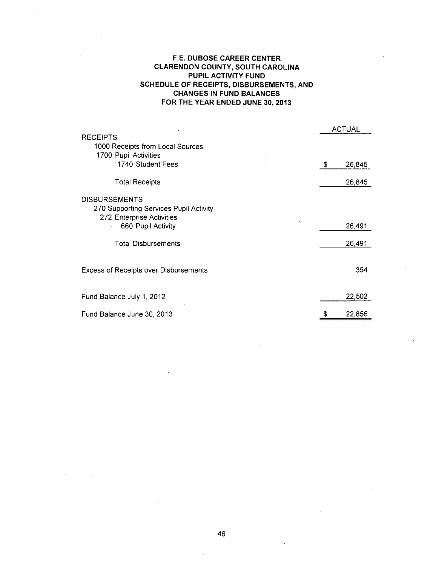#### **F.E. DUBOSE CAREER CENTER CLARENDON COUNTY, SOUTH CAROLINA PUPIL ACTIVITY FUND SCHEDULE OF RECEIPTS, DISBURSEMENTS, AND CHANGES IN FUND BALANCES FOR THE YEAR ENDED JUNE 30,2013**

|                                                                                             | <b>ACTUAL</b> |
|---------------------------------------------------------------------------------------------|---------------|
| <b>RECEIPTS</b><br>1000 Receipts from Local Sources<br>1700 Pupil Activities                |               |
| 1740 Student Fees                                                                           | \$<br>26,845  |
| <b>Total Receipts</b>                                                                       | 26,845        |
| <b>DISBURSEMENTS</b><br>270 Supporting Services Pupil Activity<br>272 Enterprise Activities |               |
| 660 Pupil Activity                                                                          | 26,491        |
| <b>Total Disbursements</b>                                                                  | 26,491        |
| <b>Excess of Receipts over Disbursements</b>                                                | 354           |
| Fund Balance July 1, 2012                                                                   | 22,502        |
| Fund Balance June 30, 2013                                                                  | 22,856        |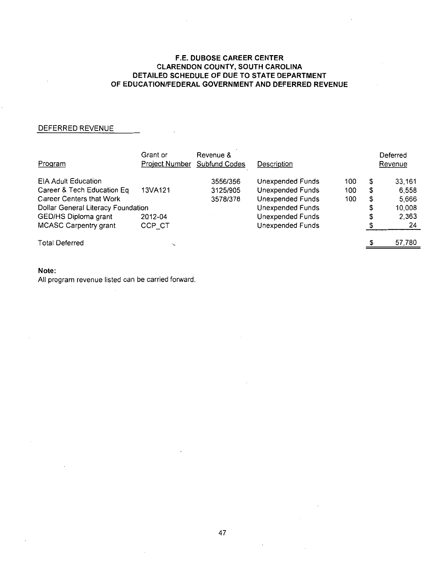#### **F.E. DUBOSE CAREER CENTER CLARENDON COUNTY, SOUTH CAROLINA DETAILED SCHEDULE OF DUE TO STATE DEPARTMENT OF EDUCATION/FEDERAL GOVERNMENT AND DEFERRED REVENUE**

#### DEFERRED REVENUE

| Program                            | Grant or<br>Project Number | Revenue &<br><b>Subfund Codes</b> | Description             | Deferred<br>Revenue |    |        |
|------------------------------------|----------------------------|-----------------------------------|-------------------------|---------------------|----|--------|
| <b>EIA Adult Education</b>         |                            | 3556/356                          | <b>Unexpended Funds</b> | 100                 | S  | 33,161 |
| Career & Tech Education Eq         | 13VA121                    | 3125/905                          | <b>Unexpended Funds</b> | 100                 | \$ | 6,558  |
| Career Centers that Work           |                            | 3578/378                          | <b>Unexpended Funds</b> | 100                 | S  | 5,666  |
| Dollar General Literacy Foundation |                            |                                   | Unexpended Funds        |                     | S  | 10,008 |
| GED/HS Diploma grant               | 2012-04                    |                                   | <b>Unexpended Funds</b> |                     |    | 2,363  |
| <b>MCASC Carpentry grant</b>       | CCP_CT                     |                                   | <b>Unexpended Funds</b> |                     |    | 24     |
| <b>Total Deferred</b>              | $\tilde{}$                 |                                   |                         |                     |    | 57,780 |
|                                    |                            |                                   |                         |                     |    |        |

#### **Note:**

All program revenue listed can be carried forward.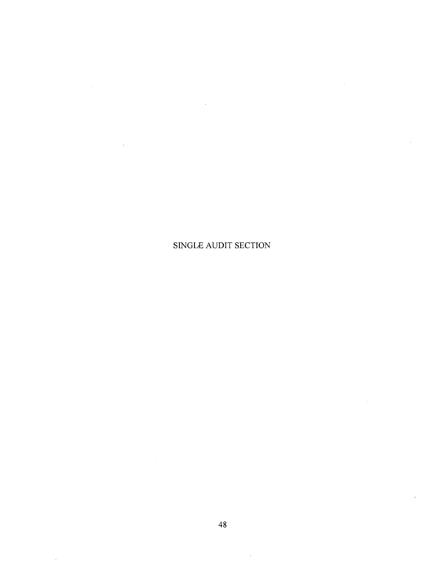# SINGLE AUDIT SECTION

 $\sim$ 

 $\sim$ 

 $\mathcal{A}$ 

 $\bar{\psi}$ 

 $\sim$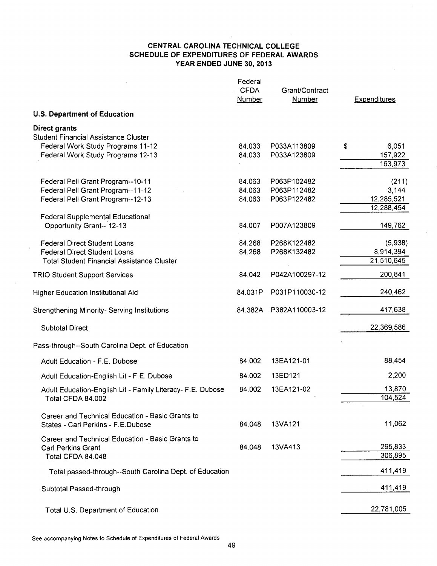#### **CENTRAL CAROLINA TECHNICAL COLLEGE SCHEDULE OF EXPENDITURES OF FEDERAL AWARDS YEAR ENDED JUNE 30,2013**

 $\sim$ 

|                                                              | Federal<br><b>CFDA</b><br>Number | Grant/Contract<br><b>Number</b> | <b>Expenditures</b> |
|--------------------------------------------------------------|----------------------------------|---------------------------------|---------------------|
| <b>U.S. Department of Education</b>                          |                                  |                                 |                     |
| Direct grants<br><b>Student Financial Assistance Cluster</b> |                                  |                                 |                     |
| Federal Work Study Programs 11-12                            | 84.033                           | P033A113809                     | \$<br>6,051         |
| Federal Work Study Programs 12-13                            | 84.033                           | P033A123809                     | 157,922             |
|                                                              |                                  |                                 | 163,973             |
| Federal Pell Grant Program--10-11                            | 84.063                           | P063P102482                     | (211)               |
| Federal Pell Grant Program--11-12                            | 84.063                           | P063P112482                     | 3,144               |
| Federal Pell Grant Program--12-13                            | 84.063                           | P063P122482                     | 12,285,521          |
| <b>Federal Supplemental Educational</b>                      |                                  |                                 | 12,288,454          |
| <b>Opportunity Grant--12-13</b>                              | 84.007                           | P007A123809                     | 149,762             |
|                                                              |                                  |                                 |                     |
| <b>Federal Direct Student Loans</b>                          | 84.268                           | P268K122482                     | (5,938)             |
| <b>Federal Direct Student Loans</b>                          | 84.268                           | P268K132482                     | 8,914,394           |
| <b>Total Student Financial Assistance Cluster</b>            |                                  |                                 | 21,510,645          |
| <b>TRIO Student Support Services</b>                         | 84.042                           | P042A100297-12                  | 200,841             |
| <b>Higher Education Institutional Aid</b>                    | 84.031P                          | P031P110030-12                  | 240,462             |
| <b>Strengthening Minority- Serving Institutions</b>          | 84.382A                          | P382A110003-12                  | 417,638             |
| <b>Subtotal Direct</b>                                       |                                  |                                 | 22,369,586          |
| Pass-through--South Carolina Dept. of Education              |                                  |                                 |                     |
| Adult Education - F.E. Dubose                                | 84.002                           | 13EA121-01                      | 88,454              |
| Adult Education-English Lit - F.E. Dubose                    | 84.002                           | 13ED121                         | 2,200               |
| Adult Education-English Lit - Family Literacy- F.E. Dubose   | 84.002                           | 13EA121-02                      | 13,870              |
| Total CFDA 84.002                                            |                                  |                                 | 104,524             |
| Career and Technical Education - Basic Grants to             |                                  |                                 |                     |
| States - Carl Perkins - F.E.Dubose                           | 84.048                           | 13VA121                         | 11,062              |
| Career and Technical Education - Basic Grants to             |                                  |                                 |                     |
| <b>Carl Perkins Grant</b>                                    | 84.048                           | 13VA413                         | 295,833             |
| Total CFDA 84.048                                            |                                  |                                 | 306,895             |
| Total passed-through--South Carolina Dept. of Education      |                                  |                                 | 411,419             |
| Subtotal Passed-through                                      |                                  |                                 | 411,419             |
| Total U.S. Department of Education                           |                                  |                                 | 22,781,005          |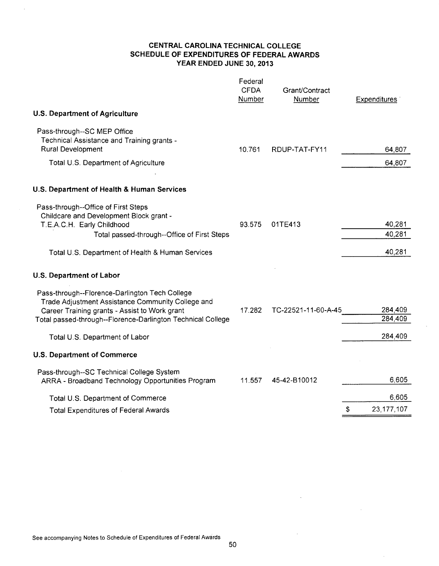#### **CENTRAL CAROLINA TECHNICAL COLLEGE SCHEDULE OF EXPENDITURES OF FEDERAL AWARDS YEAR ENDED JUNE 30,2013**

|                                                                                                                                                                                                                     | Federal<br><b>CFDA</b><br>Number | Grant/Contract<br>Number | <b>Expenditures</b>         |
|---------------------------------------------------------------------------------------------------------------------------------------------------------------------------------------------------------------------|----------------------------------|--------------------------|-----------------------------|
| <b>U.S. Department of Agriculture</b>                                                                                                                                                                               |                                  |                          |                             |
| Pass-through--SC MEP Office<br>Technical Assistance and Training grants -<br><b>Rural Development</b>                                                                                                               | 10.761                           | RDUP-TAT-FY11            | 64,807                      |
| Total U.S. Department of Agriculture                                                                                                                                                                                |                                  |                          | 64,807                      |
| U.S. Department of Health & Human Services                                                                                                                                                                          |                                  |                          |                             |
| Pass-through--Office of First Steps<br>Childcare and Development Block grant -<br>T.E.A.C.H. Early Childhood<br>Total passed-through--Office of First Steps<br>Total U.S. Department of Health & Human Services     | 93.575                           | 01TE413                  | 40,281<br>40,281<br>40,281  |
| <b>U.S. Department of Labor</b>                                                                                                                                                                                     |                                  |                          |                             |
| Pass-through--Florence-Darlington Tech College<br>Trade Adjustment Assistance Community College and<br>Career Training grants - Assist to Work grant<br>Total passed-through--Florence-Darlington Technical College | 17.282                           | TC-22521-11-60-A-45      | 284,409<br>284,409          |
| Total U.S. Department of Labor                                                                                                                                                                                      |                                  |                          | 284,409                     |
| <b>U.S. Department of Commerce</b>                                                                                                                                                                                  |                                  |                          |                             |
| Pass-through--SC Technical College System<br>ARRA - Broadband Technology Opportunities Program                                                                                                                      | 11.557                           | 45-42-B10012             | 6,605                       |
| Total U.S. Department of Commerce<br><b>Total Expenditures of Federal Awards</b>                                                                                                                                    |                                  |                          | 6,605<br>23, 177, 107<br>\$ |
|                                                                                                                                                                                                                     |                                  |                          |                             |

 $\overline{a}$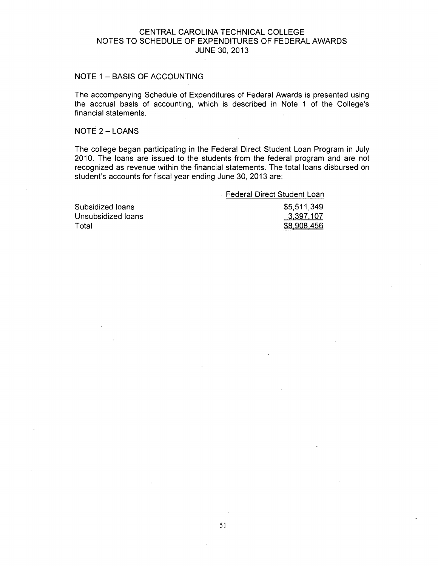#### CENTRAL CAROLINA TECHNICAL COLLEGE NOTES TO SCHEDULE OF EXPENDITURES OF FEDERAL AWARDS JUNE 30, 2013

#### NOTE 1 - BASIS OF ACCOUNTING

The accompanying Schedule of Expenditures of Federal Awards is presented using the accrual basis of accounting, which is described in Note 1 of the College's financial statements.

#### NOTE 2 - LOANS

The college began participating in the Federal Direct Student Loan Program in July 2010. The loans are issued to the students from the federal program and are not recognized as revenue within the financial statements. The total loans disbursed on student's accounts for fiscal year ending June 30, 2013 are:

|                    | Federal Direct Student Loan |  |  |  |  |
|--------------------|-----------------------------|--|--|--|--|
| Subsidized Ioans   | \$5,511,349                 |  |  |  |  |
| Unsubsidized loans | 3,397,107                   |  |  |  |  |
| Total              | \$8,908,456                 |  |  |  |  |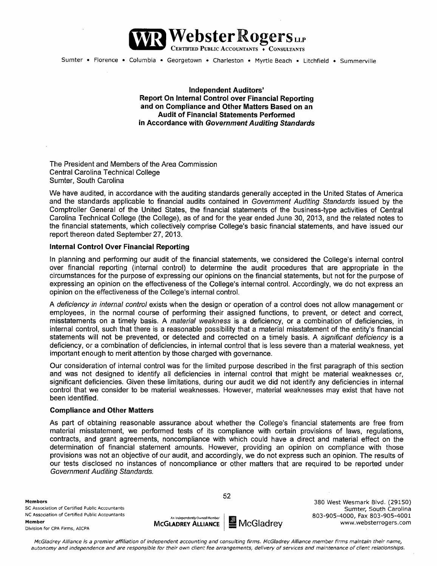

Sumter • Florence • Columbia • Georgetown • Charleston • Myrtle Beach • Litchfield • Summerville

**Independent Auditors' Report On Internal Control over Financial Reporting and on Compliance and Other Matters Based on an Audit of Financial Statements Performed in Accordance with Government Auditing Standards** 

The President and Members of the Area Commission Central Carolina Technical College Sumter, South Carolina

We have audited, in accordance with the auditing standards generally accepted in the United States of America and the standards applicable to financial audits contained in Government Auditing Standards issued by the Comptroller General of the United States, the financial statements of the business-type activities of Central Carolina Technical College (the College), as of and for the year ended June 30, 2013, and the related notes to the financial statements, which collectively comprise College's basic financial statements, and have issued our report thereon dated September 27, 2013.

#### **Internal Control Over Financial Reporting**

In planning and performing our audit of the financial statements, we considered the College's internal control over financial reporting (internal control) to determine the audit procedures that are appropriate in the circumstances for the purpose of expressing our opinions on the financial statements, but not for the purpose of expressing an opinion on the effectiveness of the College's internal control. Accordingly, we do not express an opinion on the effectiveness of the College's internal control.

A deficiency in internal control exists when the design or operation of a control does not allow management or employees, in the normal course of performing their assigned functions, to prevent, or detect and correct, misstatements on a timely basis. A *material weakness* is a deficiency, or a combination of deficiencies, in internal control, such that there is a reasonable possibility that a material misstatement of the entity's financial statements will not be prevented, or detected and corrected on a timely basis. A significant deficiency is a deficiency, or a combination of deficiencies, in internal control that is less severe than a material weakness, yet important enough to merit attention by those charged with governance.

Our consideration of internal control was for the limited purpose described in the first paragraph of this section and was not designed to identify all deficiencies in internal control that might be material weaknesses or, significant deficiencies. Given these limitations, during our audit we did not identify any deficiencies in internal control that we consider to be material weaknesses. However, material weaknesses may exist that have not been identified.

#### **Compliance and Other Matters**

As part of obtaining reasonable assurance about whether the College's financial statements are free from material misstatement, we performed tests of its compliance with certain provisions of laws, regulations, contracts, and grant agreements, noncompliance with which could have a direct and material effect on the determination of financial statement amounts. However, providing an opinion on compliance with those provisions was not an objective of our audit, and accordingly, we do not express such an opinion. The results of our tests disclosed no instances of noncompliance or other matters that are required to be reported under Government Auditing Standards.

Members SC Association of Certified Public Accountants NC Association of Certified Public Accountants Member Division for CPA Firms, AICPA

52

McGladrey

380 West Wesmark Blvd. (29150) Sumter, South Carolina 803-905-4000, Fax 803-905-4001 www.websterrogers.com

McGiadrey Alliance is a premier affiliation of independent accounting and consulting firms. McGiadrey Alliance member firms maintain their name, autonomy and independence and are responsible for their own client fee arrangements, delivery of services and maintenance of client relationships.

An Independently Owned Member

**MCGLADREY ALLIANCE**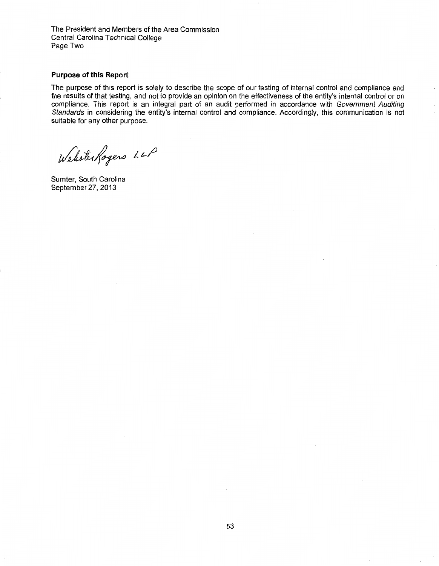The President and Members of the Area Commission Central Carolina Technical College Page Two

#### **Purpose of this Report**

The purpose of this report is solely to describe the scope of our testing of internal control and compliance and the results of that testing, and not to provide an opinion on the effectiveness of the entity's internal control or on compliance. This report is an integral part of an audit performed in accordance with Government Auditing Standards in considering the entity's internal control and compliance. Accordingly, this communication is not suitable for any other purpose.

Websterfogers LLP

Sumter, South Carolina September 27, 2013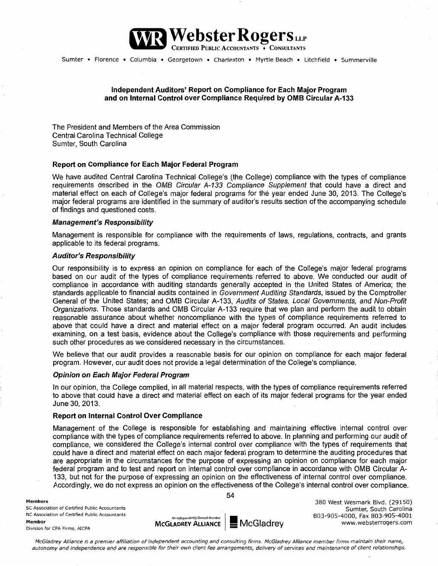

Sumter • Florence • Columbia • Georgetown • Charleston • Myrtle Beach • Litchfield • Summerville

#### **Independent Auditors' Report on Compliance for Each Major Program and on Internal Control over Compliance Required by OMB Circular A-133**

The President and Members of the Area Commission Central Carolina Technical College Sumter, South Carolina

#### **Report on Compliance for Each Major Federal Program**

We have audited Central Carolina Technical College's (the College) compliance with the types of compliance requirements described in the OMB Circular A-133 Compliance Supplement that could have a direct and material effect on each of College's major federal programs for the year ended June 30, 2013. The College's major federal programs are identified in the summary of auditor's results section of the accompanying schedule of findings and questioned costs.

#### **Management's Responsibility**

Management is responsible for compliance with the requirements of laws, regulations, contracts, and grants applicable to its federal programs.

#### **Auditor's Responsibility**

Our responsibility is to express an opinion on compliance for each of the College's major federal programs based on our audit of the types of compliance requirements referred to above. We conducted our audit of compliance in accordance with auditing standards generally accepted in the United States of America; the standards applicable to financial audits contained in Government Auditing Standards, issued by the Comptroller General of the United States; and OMB Circular A-133, Audits of States, Local Governments, and Non-Profit Organizations. Those standards and OMB Circular A-133 require that we plan and perform the audit to obtain reasonable assurance about whether noncompliance with the types of compliance requirements referred to above that could have a direct and material effect on a major federal program occurred. An audit includes examining, on a test basis, evidence about the College's compliance with those requirements and performing such other procedures as we considered necessary in the circumstances.

We believe that our audit provides a reasonable basis for our opinion on compliance for each major federal program. However, our audit does not provide a legal determination of the College's compliance.

#### **Opinion on Each Major Federal Program**

In our opinion, the College complied, in all material respects, with the types of compliance requirements referred to above that could have a direct and material effect on each of its major federal programs for the year ended June 30, 2013.

#### **Report on Internal Control Over Compliance**

Management of the College is responsible for establishing and maintaining effective internal control over compliance with the types of compliance requirements referred to above. In planning and performing our audit of compliance, we considered the College's internal control over compliance with the types of requirements that could have a direct and material effect on each major federal program to determine the auditing procedures that are appropriate in the circumstances for the purpose of expressing an opinion on compliance for each major federal program and to test and report on internal control over compliance in accordance with OMB Circular A-133, but not for the purpose of expressing an opinion on the effectiveness of internal control over compliance. Accordingly, we do not express an opinion on the effectiveness of the College's internal control over compliance.

54

#### Members

SC Association of Certified Public Accountants NC Association of Certified Public Accountants

Division for CPA Firms, AICPA

An Independently Owned Member



380 West wesmark Blvd. (29150) Sumter, South Carolina 803-905-4000, Fax 803-905-4001 Member **MACGLADREY ALLIANCE** MCGIADREY WWW. websterrogers.com

McGladrey Alliance is a premier affiliation of independent accounting and consulting firms. McGladrey Alliance member firms maintain their name, autonomy and independence and are responsible for their own client fee arrangements, delivery of services and maintenance of client relationships.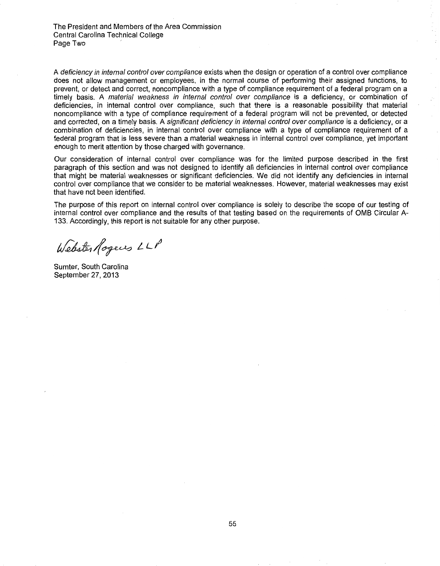The President and Members of the Area Commission Central Carolina Technical College Page Two '

A deficiency in internal control over compliance exists when the design or operation of a control over compliance does not allow management or employees, in the normal course of performing their assigned functions, to prevent, or detect and correct, noncompliance with a type of compliance requirement of a federal program on a timely basis. A material weakness in internal control over compliance is a deficiency, or combination of deficiencies, in internal control over compliance, such that there is a reasonable possibility that material noncompliance with a type of compliance requirement of a federal program will not be prevented, or detected and corrected, on a timely basis. A significant deficiency in internal control over compliance is a deficiency, or a combination of deficiencies, in internal control over compliance with a type of compliance requirement of a federal program that is less severe than a material weakness in internal control over compliance, yet important enough to merit attention by those charged with governance.

Our consideration of internal control over compliance was for the limited purpose described in the first paragraph of this section and was not designed to identify all deficiencies in internal control over compliance that might be material weaknesses or significant deficiencies. We did not identify any deficiencies in internal control over compliance that we consider to be material weaknesses. However, material weaknesses may exist that have not been identified.

The purpose of this report on internal control over compliance is solely to describe the scope of our testing of internal control over compliance and the results of that testing based on the requirements of OMB Circular A-133. Accordingly, this report is not suitable for any other purpose.

Webster Rogers LLP

Sumter, South Carolina September 27, 2013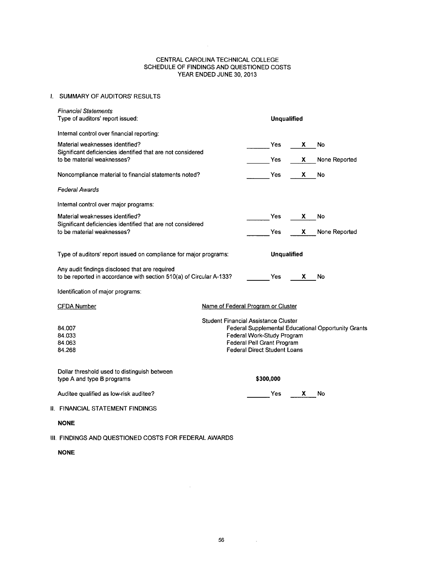#### CENTRAL CAROLINA TECHNICAL COLLEGE SCHEDULE OF FINDINGS AND QUESTIONED COSTS YEAR ENDED JUNE 30, 2013

 $\mathcal{L}_{\mathcal{L}}$ 

|  | SUMMARY OF AUDITORS' RESULTS |  |
|--|------------------------------|--|
|  |                              |  |

|                                 | <b>Financial Statements</b><br>Type of auditors' report issued:                                                                                                                       |                                                                                                                                                                                                              |     | <b>Unqualified</b> |                    |               |  |  |  |
|---------------------------------|---------------------------------------------------------------------------------------------------------------------------------------------------------------------------------------|--------------------------------------------------------------------------------------------------------------------------------------------------------------------------------------------------------------|-----|--------------------|--------------------|---------------|--|--|--|
|                                 | Internal control over financial reporting:                                                                                                                                            |                                                                                                                                                                                                              |     |                    |                    |               |  |  |  |
|                                 | Material weaknesses identified?<br>Significant deficiencies identified that are not considered<br>to be material weaknesses?<br>Noncompliance material to financial statements noted? |                                                                                                                                                                                                              |     | Yes                | <b>X</b>           | No            |  |  |  |
|                                 |                                                                                                                                                                                       |                                                                                                                                                                                                              |     | Yes                | X.                 | None Reported |  |  |  |
|                                 |                                                                                                                                                                                       |                                                                                                                                                                                                              |     | Yes                | X.                 | No            |  |  |  |
|                                 | <b>Federal Awards</b>                                                                                                                                                                 |                                                                                                                                                                                                              |     |                    |                    |               |  |  |  |
|                                 | Internal control over major programs:                                                                                                                                                 |                                                                                                                                                                                                              |     |                    |                    |               |  |  |  |
| Material weaknesses identified? |                                                                                                                                                                                       |                                                                                                                                                                                                              | Yes | X.                 | No                 |               |  |  |  |
|                                 | Significant deficiencies identified that are not considered<br>to be material weaknesses?                                                                                             |                                                                                                                                                                                                              |     | Yes                | <b>X</b>           | None Reported |  |  |  |
|                                 | Type of auditors' report issued on compliance for major programs:                                                                                                                     |                                                                                                                                                                                                              |     |                    | <b>Unqualified</b> |               |  |  |  |
|                                 | Any audit findings disclosed that are required<br>to be reported in accordance with section 510(a) of Circular A-133?                                                                 |                                                                                                                                                                                                              |     | Yes                | X.                 | No            |  |  |  |
|                                 | Identification of major programs:                                                                                                                                                     |                                                                                                                                                                                                              |     |                    |                    |               |  |  |  |
|                                 | <b>CFDA Number</b>                                                                                                                                                                    | Name of Federal Program or Cluster                                                                                                                                                                           |     |                    |                    |               |  |  |  |
|                                 | 84.007<br>84.033<br>84.063<br>84.268                                                                                                                                                  | <b>Student Financial Assistance Cluster</b><br><b>Federal Supplemental Educational Opportunity Grants</b><br>Federal Work-Study Program<br>Federal Pell Grant Program<br><b>Federal Direct Student Loans</b> |     |                    |                    |               |  |  |  |
|                                 | Dollar threshold used to distinguish between<br>type A and type B programs                                                                                                            |                                                                                                                                                                                                              |     | \$300,000          |                    |               |  |  |  |
|                                 | Auditee qualified as low-risk auditee?                                                                                                                                                |                                                                                                                                                                                                              |     | Yes                | $\mathbf{x}$       | <b>No</b>     |  |  |  |
|                                 | II. FINANCIAL STATEMENT FINDINGS                                                                                                                                                      |                                                                                                                                                                                                              |     |                    |                    |               |  |  |  |
|                                 | <b>NONE</b>                                                                                                                                                                           |                                                                                                                                                                                                              |     |                    |                    |               |  |  |  |
|                                 | III. FINDINGS AND QUESTIONED COSTS FOR FEDERAL AWARDS                                                                                                                                 |                                                                                                                                                                                                              |     |                    |                    |               |  |  |  |
|                                 |                                                                                                                                                                                       |                                                                                                                                                                                                              |     |                    |                    |               |  |  |  |

**NONE** 

 $\mathcal{L}^{\text{max}}_{\text{max}}$  , where  $\mathcal{L}^{\text{max}}_{\text{max}}$ 

 $\mathcal{A}^{\mathcal{A}}$